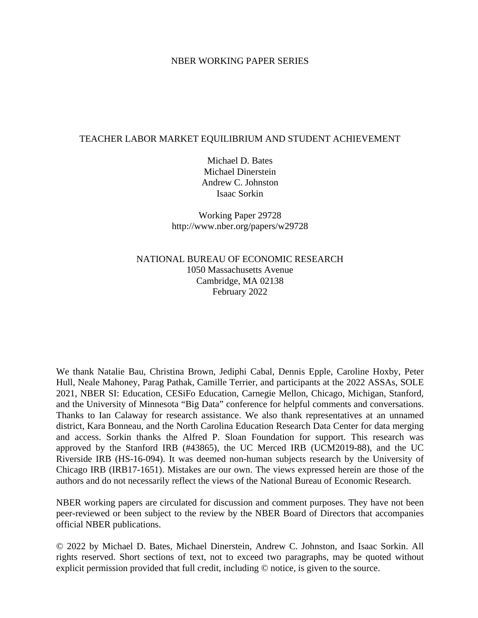## NBER WORKING PAPER SERIES

## TEACHER LABOR MARKET EQUILIBRIUM AND STUDENT ACHIEVEMENT

Michael D. Bates Michael Dinerstein Andrew C. Johnston Isaac Sorkin

Working Paper 29728 http://www.nber.org/papers/w29728

NATIONAL BUREAU OF ECONOMIC RESEARCH 1050 Massachusetts Avenue Cambridge, MA 02138 February 2022

We thank Natalie Bau, Christina Brown, Jediphi Cabal, Dennis Epple, Caroline Hoxby, Peter Hull, Neale Mahoney, Parag Pathak, Camille Terrier, and participants at the 2022 ASSAs, SOLE 2021, NBER SI: Education, CESiFo Education, Carnegie Mellon, Chicago, Michigan, Stanford, and the University of Minnesota "Big Data" conference for helpful comments and conversations. Thanks to Ian Calaway for research assistance. We also thank representatives at an unnamed district, Kara Bonneau, and the North Carolina Education Research Data Center for data merging and access. Sorkin thanks the Alfred P. Sloan Foundation for support. This research was approved by the Stanford IRB (#43865), the UC Merced IRB (UCM2019-88), and the UC Riverside IRB (HS-16-094). It was deemed non-human subjects research by the University of Chicago IRB (IRB17-1651). Mistakes are our own. The views expressed herein are those of the authors and do not necessarily reflect the views of the National Bureau of Economic Research.

NBER working papers are circulated for discussion and comment purposes. They have not been peer-reviewed or been subject to the review by the NBER Board of Directors that accompanies official NBER publications.

© 2022 by Michael D. Bates, Michael Dinerstein, Andrew C. Johnston, and Isaac Sorkin. All rights reserved. Short sections of text, not to exceed two paragraphs, may be quoted without explicit permission provided that full credit, including © notice, is given to the source.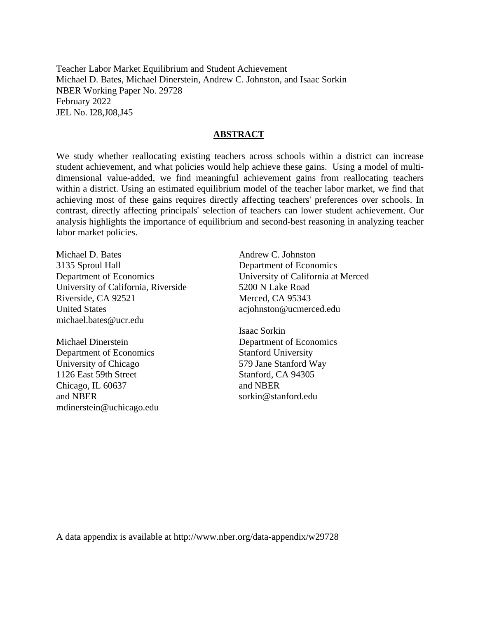Teacher Labor Market Equilibrium and Student Achievement Michael D. Bates, Michael Dinerstein, Andrew C. Johnston, and Isaac Sorkin NBER Working Paper No. 29728 February 2022 JEL No. I28,J08,J45

## **ABSTRACT**

We study whether reallocating existing teachers across schools within a district can increase student achievement, and what policies would help achieve these gains. Using a model of multidimensional value-added, we find meaningful achievement gains from reallocating teachers within a district. Using an estimated equilibrium model of the teacher labor market, we find that achieving most of these gains requires directly affecting teachers' preferences over schools. In contrast, directly affecting principals' selection of teachers can lower student achievement. Our analysis highlights the importance of equilibrium and second-best reasoning in analyzing teacher labor market policies.

Michael D. Bates 3135 Sproul Hall Department of Economics University of California, Riverside Riverside, CA 92521 United States michael.bates@ucr.edu

Michael Dinerstein Department of Economics University of Chicago 1126 East 59th Street Chicago, IL 60637 and NBER mdinerstein@uchicago.edu Andrew C. Johnston Department of Economics University of California at Merced 5200 N Lake Road Merced, CA 95343 acjohnston@ucmerced.edu

Isaac Sorkin Department of Economics Stanford University 579 Jane Stanford Way Stanford, CA 94305 and NBER sorkin@stanford.edu

A data appendix is available at http://www.nber.org/data-appendix/w29728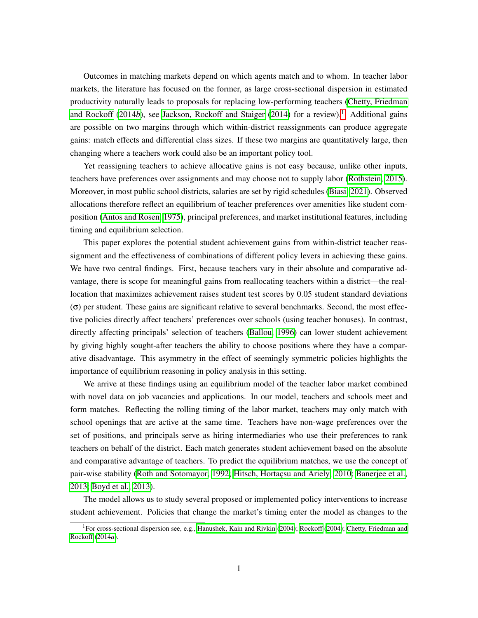Outcomes in matching markets depend on which agents match and to whom. In teacher labor markets, the literature has focused on the former, as large cross-sectional dispersion in estimated productivity naturally leads to proposals for replacing low-performing teachers [\(Chetty, Friedman](#page-37-0) [and Rockoff](#page-37-0)  $(2014b)$  $(2014b)$ , see [Jackson, Rockoff and Staiger](#page-39-0)  $(2014)$  for a review).<sup>1</sup> Additional gains are possible on two margins through which within-district reassignments can produce aggregate gains: match effects and differential class sizes. If these two margins are quantitatively large, then changing where a teachers work could also be an important policy tool.

Yet reassigning teachers to achieve allocative gains is not easy because, unlike other inputs, teachers have preferences over assignments and may choose not to supply labor [\(Rothstein, 2015\)](#page-41-0). Moreover, in most public school districts, salaries are set by rigid schedules [\(Biasi, 2021\)](#page-37-1). Observed allocations therefore reflect an equilibrium of teacher preferences over amenities like student com-position [\(Antos and Rosen, 1975\)](#page-36-0), principal preferences, and market institutional features, including timing and equilibrium selection.

This paper explores the potential student achievement gains from within-district teacher reassignment and the effectiveness of combinations of different policy levers in achieving these gains. We have two central findings. First, because teachers vary in their absolute and comparative advantage, there is scope for meaningful gains from reallocating teachers within a district—the reallocation that maximizes achievement raises student test scores by 0*.*05 student standard deviations  $(\sigma)$  per student. These gains are significant relative to several benchmarks. Second, the most effective policies directly affect teachers' preferences over schools (using teacher bonuses). In contrast, directly affecting principals' selection of teachers [\(Ballou, 1996\)](#page-36-1) can lower student achievement by giving highly sought-after teachers the ability to choose positions where they have a comparative disadvantage. This asymmetry in the effect of seemingly symmetric policies highlights the importance of equilibrium reasoning in policy analysis in this setting.

We arrive at these findings using an equilibrium model of the teacher labor market combined with novel data on job vacancies and applications. In our model, teachers and schools meet and form matches. Reflecting the rolling timing of the labor market, teachers may only match with school openings that are active at the same time. Teachers have non-wage preferences over the set of positions, and principals serve as hiring intermediaries who use their preferences to rank teachers on behalf of the district. Each match generates student achievement based on the absolute and comparative advantage of teachers. To predict the equilibrium matches, we use the concept of pair-wise stability [\(Roth and Sotomayor, 1992;](#page-41-1) Hitsch, Hortacsu and Ariely, 2010; [Banerjee et al.,](#page-36-2) [2013;](#page-36-2) [Boyd et al., 2013\)](#page-37-2).

The model allows us to study several proposed or implemented policy interventions to increase student achievement. Policies that change the market's timing enter the model as changes to the

<span id="page-2-0"></span><sup>&</sup>lt;sup>1</sup>For cross-sectional dispersion see, e.g., [Hanushek, Kain and Rivkin](#page-39-2) [\(2004\)](#page-40-0); [Rockoff](#page-40-0) (2004); [Chetty, Friedman and](#page-37-3) [Rockoff](#page-37-3) [\(2014](#page-37-3)*a*).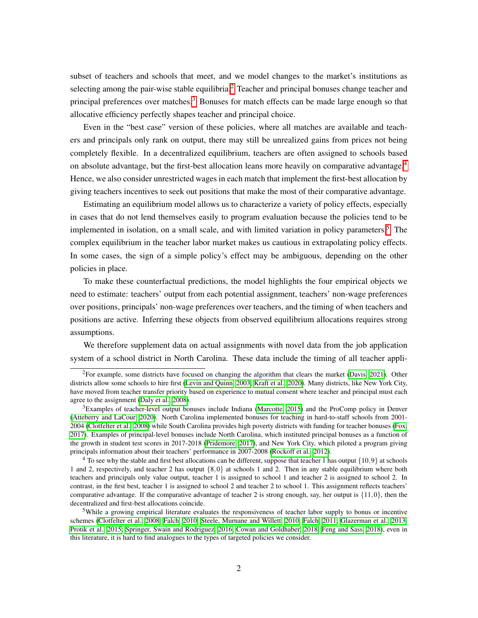subset of teachers and schools that meet, and we model changes to the market's institutions as selecting among the pair-wise stable equilibria.<sup>[2]</sup> Teacher and principal bonuses change teacher and principal preferences over matches.<sup>3</sup> Bonuses for match effects can be made large enough so that allocative efficiency perfectly shapes teacher and principal choice.

Even in the "best case" version of these policies, where all matches are available and teachers and principals only rank on output, there may still be unrealized gains from prices not being completely flexible. In a decentralized equilibrium, teachers are often assigned to schools based on absolute advantage, but the first-best allocation leans more heavily on comparative advantage. $|4|$  $|4|$  $|4|$ Hence, we also consider unrestricted wages in each match that implement the first-best allocation by giving teachers incentives to seek out positions that make the most of their comparative advantage.

Estimating an equilibrium model allows us to characterize a variety of policy effects, especially in cases that do not lend themselves easily to program evaluation because the policies tend to be implemented in isolation, on a small scale, and with limited variation in policy parameters.<sup>[5](#page-3-3)</sup> The complex equilibrium in the teacher labor market makes us cautious in extrapolating policy effects. In some cases, the sign of a simple policy's effect may be ambiguous, depending on the other policies in place.

To make these counterfactual predictions, the model highlights the four empirical objects we need to estimate: teachers' output from each potential assignment, teachers' non-wage preferences over positions, principals' non-wage preferences over teachers, and the timing of when teachers and positions are active. Inferring these objects from observed equilibrium allocations requires strong assumptions.

We therefore supplement data on actual assignments with novel data from the job application system of a school district in North Carolina. These data include the timing of all teacher appli-

<span id="page-3-0"></span><sup>&</sup>lt;sup>2</sup>For example, some districts have focused on changing the algorithm that clears the market (Davis,  $2021$ ). Other districts allow some schools to hire first (Levin and Quinn,  $2003$ ; Kraft et al.,  $2020$ ). Many districts, like New York City, have moved from teacher transfer priority based on experience to mutual consent where teacher and principal must each agree to the assignment [\(Daly et al., 2008\)](#page-38-1).

<span id="page-3-1"></span><sup>&</sup>lt;sup>3</sup>Examples of teacher-level output bonuses include Indiana [\(Marcotte, 2015\)](#page-40-2) and the ProComp policy in Denver [\(Atteberry and LaCour, 2020\)](#page-36-3). North Carolina implemented bonuses for teaching in hard-to-staff schools from 2001- 2004 [\(Clotfelter et al., 2008\)](#page-37-4) while South Carolina provides high poverty districts with funding for teacher bonuses [\(Fox,](#page-38-2) [2017\)](#page-38-2). Examples of principal-level bonuses include North Carolina, which instituted principal bonuses as a function of the growth in student test scores in 2017-2018 [\(Pridemore, 2017\)](#page-40-3), and New York City, which piloted a program giving principals information about their teachers' performance in 2007-2008 [\(Rockoff et al., 2012\)](#page-41-2).

<span id="page-3-2"></span><sup>4</sup> To see why the stable and first best allocations can be different, suppose that teacher 1 has output *{*10*,*9*}* at schools 1 and 2, respectively, and teacher 2 has output *{*8*,*0*}* at schools 1 and 2. Then in any stable equilibrium where both teachers and principals only value output, teacher 1 is assigned to school 1 and teacher 2 is assigned to school 2. In contrast, in the first best, teacher 1 is assigned to school 2 and teacher 2 to school 1. This assignment reflects teachers' comparative advantage. If the comparative advantage of teacher 2 is strong enough, say, her output is *{*11*,*0*}*, then the decentralized and first-best allocations coincide.

<span id="page-3-3"></span><sup>&</sup>lt;sup>5</sup>While a growing empirical literature evaluates the responsiveness of teacher labor supply to bonus or incentive schemes [\(Clotfelter et al., 2008;](#page-37-4) [Falch, 2010;](#page-38-3) [Steele, Murnane and Willett, 2010;](#page-41-3) [Falch, 2011;](#page-38-4) [Glazerman et al., 2013;](#page-39-4) [Protik et al., 2015;](#page-40-4) [Springer, Swain and Rodriguez, 2016;](#page-41-4) [Cowan and Goldhaber, 2018;](#page-38-5) [Feng and Sass, 2018\)](#page-38-6), even in this literature, it is hard to find analogues to the types of targeted policies we consider.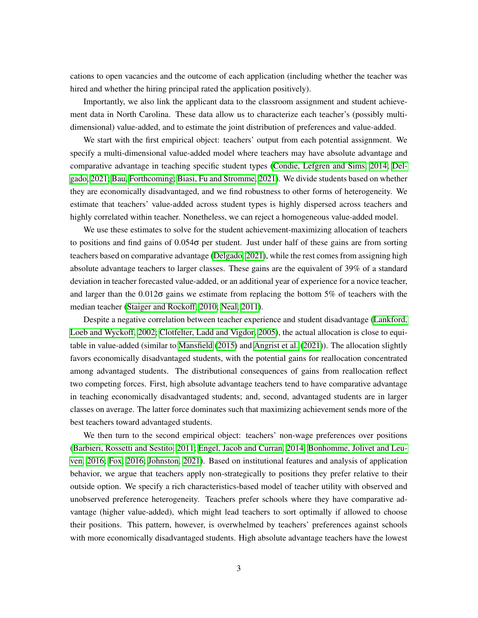cations to open vacancies and the outcome of each application (including whether the teacher was hired and whether the hiring principal rated the application positively).

Importantly, we also link the applicant data to the classroom assignment and student achievement data in North Carolina. These data allow us to characterize each teacher's (possibly multidimensional) value-added, and to estimate the joint distribution of preferences and value-added.

We start with the first empirical object: teachers' output from each potential assignment. We specify a multi-dimensional value-added model where teachers may have absolute advantage and comparative advantage in teaching specific student types [\(Condie, Lefgren and Sims, 2014;](#page-38-7) [Del](#page-38-8)[gado, 2021;](#page-38-8) [Bau, Forthcoming;](#page-36-4) [Biasi, Fu and Stromme, 2021\)](#page-37-5). We divide students based on whether they are economically disadvantaged, and we find robustness to other forms of heterogeneity. We estimate that teachers' value-added across student types is highly dispersed across teachers and highly correlated within teacher. Nonetheless, we can reject a homogeneous value-added model.

We use these estimates to solve for the student achievement-maximizing allocation of teachers to positions and find gains of  $0.054\sigma$  per student. Just under half of these gains are from sorting teachers based on comparative advantage  $\left($ Delgado,  $\left[2021\right]$ , while the rest comes from assigning high absolute advantage teachers to larger classes. These gains are the equivalent of 39% of a standard deviation in teacher forecasted value-added, or an additional year of experience for a novice teacher, and larger than the  $0.012\sigma$  gains we estimate from replacing the bottom 5% of teachers with the median teacher [\(Staiger and Rockoff, 2010;](#page-41-5) [Neal, 2011\)](#page-40-5).

Despite a negative correlation between teacher experience and student disadvantage [\(Lankford,](#page-40-6) [Loeb and Wyckoff, 2002;](#page-40-6) [Clotfelter, Ladd and Vigdor, 2005\)](#page-37-6), the actual allocation is close to equitable in value-added (similar to  $\overline{\text{Mansfield}}$  [\(2015\)](#page-40-7) and  $\overline{\text{Angrist et al.}}$  [\(2021\)](#page-36-5)). The allocation slightly favors economically disadvantaged students, with the potential gains for reallocation concentrated among advantaged students. The distributional consequences of gains from reallocation reflect two competing forces. First, high absolute advantage teachers tend to have comparative advantage in teaching economically disadvantaged students; and, second, advantaged students are in larger classes on average. The latter force dominates such that maximizing achievement sends more of the best teachers toward advantaged students.

We then turn to the second empirical object: teachers' non-wage preferences over positions [\(Barbieri, Rossetti and Sestito, 2011;](#page-36-6) [Engel, Jacob and Curran, 2014;](#page-38-9) [Bonhomme, Jolivet and Leu](#page-37-7)[ven, 2016;](#page-37-7) [Fox, 2016;](#page-38-10) [Johnston, 2021\)](#page-39-5). Based on institutional features and analysis of application behavior, we argue that teachers apply non-strategically to positions they prefer relative to their outside option. We specify a rich characteristics-based model of teacher utility with observed and unobserved preference heterogeneity. Teachers prefer schools where they have comparative advantage (higher value-added), which might lead teachers to sort optimally if allowed to choose their positions. This pattern, however, is overwhelmed by teachers' preferences against schools with more economically disadvantaged students. High absolute advantage teachers have the lowest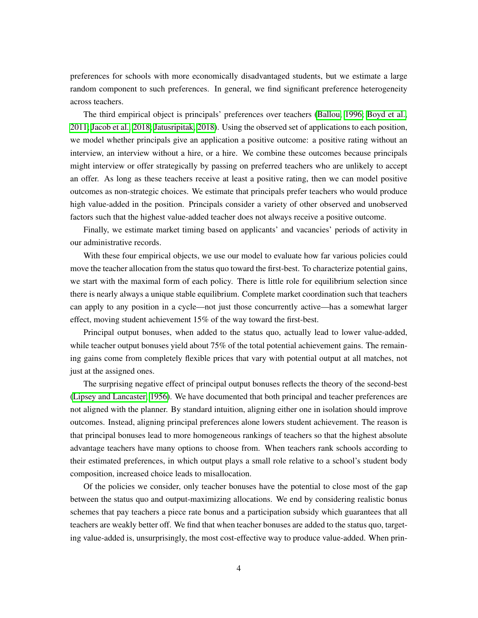preferences for schools with more economically disadvantaged students, but we estimate a large random component to such preferences. In general, we find significant preference heterogeneity across teachers.

The third empirical object is principals' preferences over teachers [\(Ballou, 1996;](#page-36-1) [Boyd et al.,](#page-37-8)  $[2011]$  Jacob et al.,  $[2018]$  Jatusripitak,  $[2018]$ . Using the observed set of applications to each position, we model whether principals give an application a positive outcome: a positive rating without an interview, an interview without a hire, or a hire. We combine these outcomes because principals might interview or offer strategically by passing on preferred teachers who are unlikely to accept an offer. As long as these teachers receive at least a positive rating, then we can model positive outcomes as non-strategic choices. We estimate that principals prefer teachers who would produce high value-added in the position. Principals consider a variety of other observed and unobserved factors such that the highest value-added teacher does not always receive a positive outcome.

Finally, we estimate market timing based on applicants' and vacancies' periods of activity in our administrative records.

With these four empirical objects, we use our model to evaluate how far various policies could move the teacher allocation from the status quo toward the first-best. To characterize potential gains, we start with the maximal form of each policy. There is little role for equilibrium selection since there is nearly always a unique stable equilibrium. Complete market coordination such that teachers can apply to any position in a cycle—not just those concurrently active—has a somewhat larger effect, moving student achievement 15% of the way toward the first-best.

Principal output bonuses, when added to the status quo, actually lead to lower value-added, while teacher output bonuses yield about 75% of the total potential achievement gains. The remaining gains come from completely flexible prices that vary with potential output at all matches, not just at the assigned ones.

The surprising negative effect of principal output bonuses reflects the theory of the second-best [\(Lipsey and Lancaster, 1956\)](#page-40-8). We have documented that both principal and teacher preferences are not aligned with the planner. By standard intuition, aligning either one in isolation should improve outcomes. Instead, aligning principal preferences alone lowers student achievement. The reason is that principal bonuses lead to more homogeneous rankings of teachers so that the highest absolute advantage teachers have many options to choose from. When teachers rank schools according to their estimated preferences, in which output plays a small role relative to a school's student body composition, increased choice leads to misallocation.

Of the policies we consider, only teacher bonuses have the potential to close most of the gap between the status quo and output-maximizing allocations. We end by considering realistic bonus schemes that pay teachers a piece rate bonus and a participation subsidy which guarantees that all teachers are weakly better off. We find that when teacher bonuses are added to the status quo, targeting value-added is, unsurprisingly, the most cost-effective way to produce value-added. When prin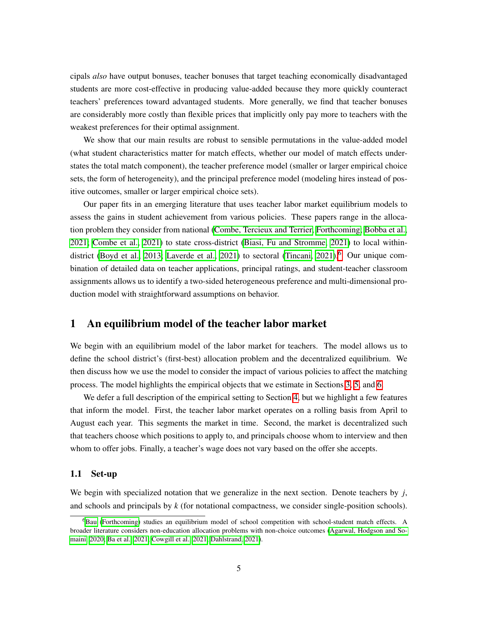cipals *also* have output bonuses, teacher bonuses that target teaching economically disadvantaged students are more cost-effective in producing value-added because they more quickly counteract teachers' preferences toward advantaged students. More generally, we find that teacher bonuses are considerably more costly than flexible prices that implicitly only pay more to teachers with the weakest preferences for their optimal assignment.

We show that our main results are robust to sensible permutations in the value-added model (what student characteristics matter for match effects, whether our model of match effects understates the total match component), the teacher preference model (smaller or larger empirical choice sets, the form of heterogeneity), and the principal preference model (modeling hires instead of positive outcomes, smaller or larger empirical choice sets).

Our paper fits in an emerging literature that uses teacher labor market equilibrium models to assess the gains in student achievement from various policies. These papers range in the alloca-tion problem they consider from national [\(Combe, Tercieux and Terrier, Forthcoming;](#page-37-9) [Bobba et al.,](#page-37-10)  $[2021]$ ; Combe et al.,  $[2021]$  to state cross-district (Biasi, Fu and Stromme,  $[2021]$ ) to local within-district [\(Boyd et al., 2013;](#page-37-2) [Laverde et al., 2021\)](#page-40-9) to sectoral [\(Tincani, 2021\)](#page-41-6).<sup>[6](#page-6-0)</sup> Our unique combination of detailed data on teacher applications, principal ratings, and student-teacher classroom assignments allows us to identify a two-sided heterogeneous preference and multi-dimensional production model with straightforward assumptions on behavior.

# <span id="page-6-1"></span>1 An equilibrium model of the teacher labor market

We begin with an equilibrium model of the labor market for teachers. The model allows us to define the school district's (first-best) allocation problem and the decentralized equilibrium. We then discuss how we use the model to consider the impact of various policies to affect the matching process. The model highlights the empirical objects that we estimate in Sections  $\overline{3}$ ,  $\overline{5}$ , and  $\overline{6}$ .

We defer a full description of the empirical setting to Section  $\frac{1}{\sqrt{2}}$  but we highlight a few features that inform the model. First, the teacher labor market operates on a rolling basis from April to August each year. This segments the market in time. Second, the market is decentralized such that teachers choose which positions to apply to, and principals choose whom to interview and then whom to offer jobs. Finally, a teacher's wage does not vary based on the offer she accepts.

## 1.1 Set-up

We begin with specialized notation that we generalize in the next section. Denote teachers by *j*, and schools and principals by *k* (for notational compactness, we consider single-position schools).

<span id="page-6-0"></span><sup>&</sup>lt;sup>6</sup>Bau [\(Forthcoming\)](#page-36-4) studies an equilibrium model of school competition with school-student match effects. A broader literature considers non-education allocation problems with non-choice outcomes [\(Agarwal, Hodgson and So](#page-36-7)[maini, 2020;](#page-36-7) [Ba et al., 2021;](#page-36-8) [Cowgill et al., 2021;](#page-38-11) [Dahlstrand, 2021\)](#page-38-12).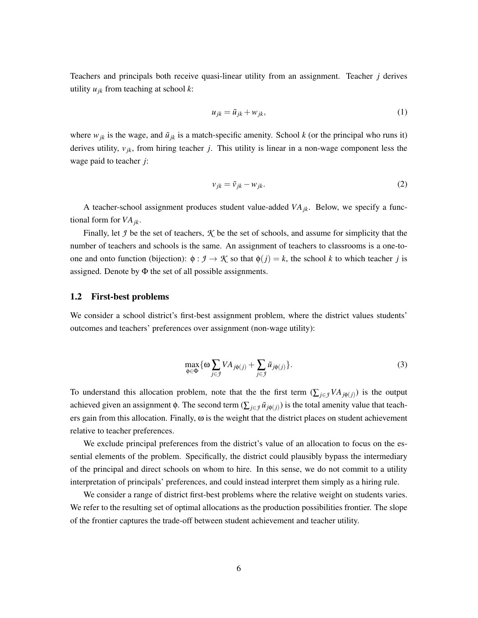Teachers and principals both receive quasi-linear utility from an assignment. Teacher *j* derives utility *ujk* from teaching at school *k*:

$$
u_{jk} = \tilde{u}_{jk} + w_{jk},\tag{1}
$$

where  $w_{jk}$  is the wage, and  $\tilde{u}_{jk}$  is a match-specific amenity. School *k* (or the principal who runs it) derives utility, *vjk*, from hiring teacher *j*. This utility is linear in a non-wage component less the wage paid to teacher *j*:

$$
v_{jk} = \tilde{v}_{jk} - w_{jk}.\tag{2}
$$

A teacher-school assignment produces student value-added *VAjk*. Below, we specify a functional form for *VAjk.*

Finally, let *J* be the set of teachers, *K* be the set of schools, and assume for simplicity that the number of teachers and schools is the same. An assignment of teachers to classrooms is a one-toone and onto function (bijection):  $\phi : \mathcal{I} \to \mathcal{K}$  so that  $\phi(j) = k$ , the school *k* to which teacher *j* is assigned. Denote by  $\Phi$  the set of all possible assignments.

#### 1.2 First-best problems

We consider a school district's first-best assignment problem, where the district values students' outcomes and teachers' preferences over assignment (non-wage utility):

<span id="page-7-0"></span>
$$
\max_{\phi \in \Phi} \{ \omega \sum_{j \in \mathcal{I}} V A_{j\phi(j)} + \sum_{j \in \mathcal{I}} \tilde{u}_{j\phi(j)} \}.
$$
 (3)

To understand this allocation problem, note that the the first term  $(\sum_{j\in\mathcal{J}} VA_{i\phi(j)})$  is the output achieved given an assignment  $\phi$ . The second term  $(\sum_{j\in\mathcal{I}} \tilde{u}_{j\phi(j)})$  is the total amenity value that teachers gain from this allocation. Finally,  $\omega$  is the weight that the district places on student achievement relative to teacher preferences.

We exclude principal preferences from the district's value of an allocation to focus on the essential elements of the problem. Specifically, the district could plausibly bypass the intermediary of the principal and direct schools on whom to hire. In this sense, we do not commit to a utility interpretation of principals' preferences, and could instead interpret them simply as a hiring rule.

We consider a range of district first-best problems where the relative weight on students varies. We refer to the resulting set of optimal allocations as the production possibilities frontier. The slope of the frontier captures the trade-off between student achievement and teacher utility.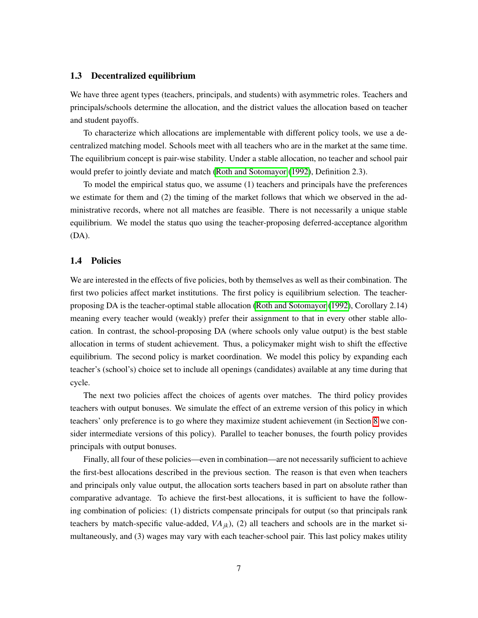#### 1.3 Decentralized equilibrium

We have three agent types (teachers, principals, and students) with asymmetric roles. Teachers and principals/schools determine the allocation, and the district values the allocation based on teacher and student payoffs.

To characterize which allocations are implementable with different policy tools, we use a decentralized matching model. Schools meet with all teachers who are in the market at the same time. The equilibrium concept is pair-wise stability. Under a stable allocation, no teacher and school pair would prefer to jointly deviate and match [\(Roth and Sotomayor](#page-41-1) [\(1992\)](#page-41-1), Definition 2.3).

To model the empirical status quo, we assume (1) teachers and principals have the preferences we estimate for them and (2) the timing of the market follows that which we observed in the administrative records, where not all matches are feasible. There is not necessarily a unique stable equilibrium. We model the status quo using the teacher-proposing deferred-acceptance algorithm (DA).

#### 1.4 Policies

We are interested in the effects of five policies, both by themselves as well as their combination. The first two policies affect market institutions. The first policy is equilibrium selection. The teacher-proposing DA is the teacher-optimal stable allocation [\(Roth and Sotomayor](#page-41-1) [\(1992\)](#page-41-1), Corollary 2.14) meaning every teacher would (weakly) prefer their assignment to that in every other stable allocation. In contrast, the school-proposing DA (where schools only value output) is the best stable allocation in terms of student achievement. Thus, a policymaker might wish to shift the effective equilibrium. The second policy is market coordination. We model this policy by expanding each teacher's (school's) choice set to include all openings (candidates) available at any time during that cycle.

The next two policies affect the choices of agents over matches. The third policy provides teachers with output bonuses. We simulate the effect of an extreme version of this policy in which teachers' only preference is to go where they maximize student achievement (in Section  $\sqrt{8}$  we consider intermediate versions of this policy). Parallel to teacher bonuses, the fourth policy provides principals with output bonuses.

Finally, all four of these policies—even in combination—are not necessarily sufficient to achieve the first-best allocations described in the previous section. The reason is that even when teachers and principals only value output, the allocation sorts teachers based in part on absolute rather than comparative advantage. To achieve the first-best allocations, it is sufficient to have the following combination of policies: (1) districts compensate principals for output (so that principals rank teachers by match-specific value-added,  $VA_{ik}$ ), (2) all teachers and schools are in the market simultaneously, and (3) wages may vary with each teacher-school pair. This last policy makes utility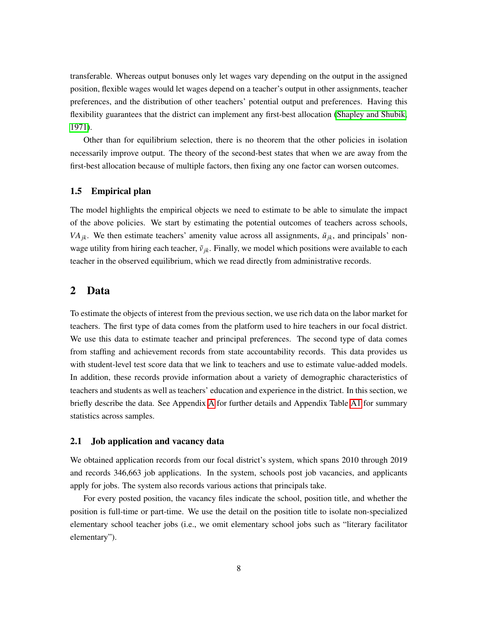transferable. Whereas output bonuses only let wages vary depending on the output in the assigned position, flexible wages would let wages depend on a teacher's output in other assignments, teacher preferences, and the distribution of other teachers' potential output and preferences. Having this flexibility guarantees that the district can implement any first-best allocation [\(Shapley and Shubik,](#page-41-7) [1971\)](#page-41-7).

Other than for equilibrium selection, there is no theorem that the other policies in isolation necessarily improve output. The theory of the second-best states that when we are away from the first-best allocation because of multiple factors, then fixing any one factor can worsen outcomes.

## 1.5 Empirical plan

The model highlights the empirical objects we need to estimate to be able to simulate the impact of the above policies. We start by estimating the potential outcomes of teachers across schools, *VA<sub>ik</sub>*. We then estimate teachers' amenity value across all assignments,  $\tilde{u}_{jk}$ , and principals' nonwage utility from hiring each teacher,  $\tilde{v}_{jk}$ . Finally, we model which positions were available to each teacher in the observed equilibrium, which we read directly from administrative records.

## 2 Data

To estimate the objects of interest from the previous section, we use rich data on the labor market for teachers. The first type of data comes from the platform used to hire teachers in our focal district. We use this data to estimate teacher and principal preferences. The second type of data comes from staffing and achievement records from state accountability records. This data provides us with student-level test score data that we link to teachers and use to estimate value-added models. In addition, these records provide information about a variety of demographic characteristics of teachers and students as well as teachers' education and experience in the district. In this section, we briefly describe the data. See Appendix  $\overline{A}$  for further details and Appendix Table  $\overline{A1}$  for summary statistics across samples.

### 2.1 Job application and vacancy data

We obtained application records from our focal district's system, which spans 2010 through 2019 and records 346,663 job applications. In the system, schools post job vacancies, and applicants apply for jobs. The system also records various actions that principals take.

For every posted position, the vacancy files indicate the school, position title, and whether the position is full-time or part-time. We use the detail on the position title to isolate non-specialized elementary school teacher jobs (i.e., we omit elementary school jobs such as "literary facilitator elementary").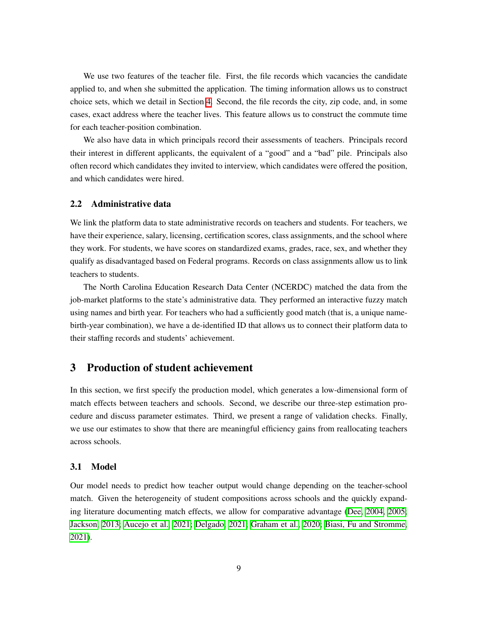We use two features of the teacher file. First, the file records which vacancies the candidate applied to, and when she submitted the application. The timing information allows us to construct choice sets, which we detail in Section  $\overline{A}$ . Second, the file records the city, zip code, and, in some cases, exact address where the teacher lives. This feature allows us to construct the commute time for each teacher-position combination.

We also have data in which principals record their assessments of teachers. Principals record their interest in different applicants, the equivalent of a "good" and a "bad" pile. Principals also often record which candidates they invited to interview, which candidates were offered the position, and which candidates were hired.

### 2.2 Administrative data

We link the platform data to state administrative records on teachers and students. For teachers, we have their experience, salary, licensing, certification scores, class assignments, and the school where they work. For students, we have scores on standardized exams, grades, race, sex, and whether they qualify as disadvantaged based on Federal programs. Records on class assignments allow us to link teachers to students.

The North Carolina Education Research Data Center (NCERDC) matched the data from the job-market platforms to the state's administrative data. They performed an interactive fuzzy match using names and birth year. For teachers who had a sufficiently good match (that is, a unique namebirth-year combination), we have a de-identified ID that allows us to connect their platform data to their staffing records and students' achievement.

# <span id="page-10-0"></span>3 Production of student achievement

In this section, we first specify the production model, which generates a low-dimensional form of match effects between teachers and schools. Second, we describe our three-step estimation procedure and discuss parameter estimates. Third, we present a range of validation checks. Finally, we use our estimates to show that there are meaningful efficiency gains from reallocating teachers across schools.

#### 3.1 Model

Our model needs to predict how teacher output would change depending on the teacher-school match. Given the heterogeneity of student compositions across schools and the quickly expanding literature documenting match effects, we allow for comparative advantage (Dee,  $2004$ ,  $2005$ ); [Jackson, 2013;](#page-39-8) [Aucejo et al., 2021;](#page-36-9) [Delgado, 2021;](#page-38-8) [Graham et al., 2020;](#page-39-9) [Biasi, Fu and Stromme,](#page-37-5) [2021\)](#page-37-5).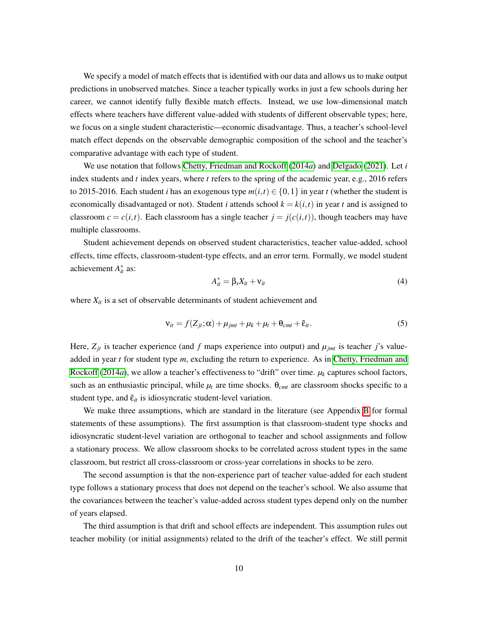We specify a model of match effects that is identified with our data and allows us to make output predictions in unobserved matches. Since a teacher typically works in just a few schools during her career, we cannot identify fully flexible match effects. Instead, we use low-dimensional match effects where teachers have different value-added with students of different observable types; here, we focus on a single student characteristic—economic disadvantage. Thus, a teacher's school-level match effect depends on the observable demographic composition of the school and the teacher's comparative advantage with each type of student.

We use notation that follows [Chetty, Friedman and Rockoff](#page-37-3) [\(2014](#page-37-3)*a*) and [Delgado](#page-38-8) [\(2021\)](#page-38-8). Let *i* index students and *t* index years, where *t* refers to the spring of the academic year, e.g., 2016 refers to 2015-2016. Each student *i* has an exogenous type  $m(i, t) \in \{0, 1\}$  in year *t* (whether the student is economically disadvantaged or not). Student *i* attends school  $k = k(i, t)$  in year *t* and is assigned to classroom  $c = c(i, t)$ . Each classroom has a single teacher  $j = j(c(i, t))$ , though teachers may have multiple classrooms.

Student achievement depends on observed student characteristics, teacher value-added, school effects, time effects, classroom-student-type effects, and an error term. Formally, we model student achievement  $A_{it}^*$  as:

$$
A_{it}^* = \beta_s X_{it} + \nu_{it} \tag{4}
$$

where  $X_{it}$  is a set of observable determinants of student achievement and

$$
\mathbf{v}_{it} = f(Z_{jt}; \alpha) + \mu_{jmt} + \mu_k + \mu_t + \theta_{cmt} + \tilde{\epsilon}_{it}.
$$
 (5)

Here,  $Z_{jt}$  is teacher experience (and f maps experience into output) and  $\mu_{jmt}$  is teacher j's valueadded in year *t* for student type *m*, excluding the return to experience. As in [Chetty, Friedman and](#page-37-3) [Rockoff](#page-37-3)  $(2014a)$  $(2014a)$ , we allow a teacher's effectiveness to "drift" over time.  $\mu_k$  captures school factors, such as an enthusiastic principal, while  $\mu_t$  are time shocks.  $\theta_{cmt}$  are classroom shocks specific to a student type, and  $\tilde{\varepsilon}_{it}$  is idiosyncratic student-level variation.

We make three assumptions, which are standard in the literature (see Appendix  $\overline{B}$  for formal statements of these assumptions). The first assumption is that classroom-student type shocks and idiosyncratic student-level variation are orthogonal to teacher and school assignments and follow a stationary process. We allow classroom shocks to be correlated across student types in the same classroom, but restrict all cross-classroom or cross-year correlations in shocks to be zero.

The second assumption is that the non-experience part of teacher value-added for each student type follows a stationary process that does not depend on the teacher's school. We also assume that the covariances between the teacher's value-added across student types depend only on the number of years elapsed.

The third assumption is that drift and school effects are independent. This assumption rules out teacher mobility (or initial assignments) related to the drift of the teacher's effect. We still permit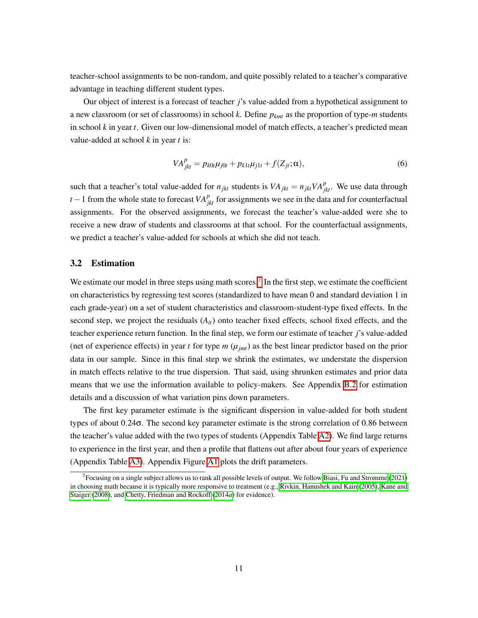teacher-school assignments to be non-random, and quite possibly related to a teacher's comparative advantage in teaching different student types.

Our object of interest is a forecast of teacher *j*'s value-added from a hypothetical assignment to a new classroom (or set of classrooms) in school *k*. Define *pkmt* as the proportion of type-*m* students in school *k* in year *t*. Given our low-dimensional model of match effects, a teacher's predicted mean value-added at school *k* in year *t* is:

$$
VA_{jkt}^p = p_{k0t} \mu_{j0t} + p_{k1t} \mu_{j1t} + f(Z_{jt}; \alpha),
$$
\n(6)

such that a teacher's total value-added for  $n_{jkt}$  students is  $VA_{jkt} = n_{jkt}VA_{jkt}^p$ . We use data through *t* – 1 from the whole state to forecast  $VA_{jkt}^p$  for assignments we see in the data and for counterfactual assignments. For the observed assignments, we forecast the teacher's value-added were she to receive a new draw of students and classrooms at that school. For the counterfactual assignments, we predict a teacher's value-added for schools at which she did not teach.

## 3.2 Estimation

We estimate our model in three steps using math scores.<sup>[7](#page-12-0)</sup> In the first step, we estimate the coefficient on characteristics by regressing test scores (standardized to have mean 0 and standard deviation 1 in each grade-year) on a set of student characteristics and classroom-student-type fixed effects. In the second step, we project the residuals (*Ait*) onto teacher fixed effects, school fixed effects, and the teacher experience return function. In the final step, we form our estimate of teacher *j*'s value-added (net of experience effects) in year *t* for type  $m(\mu_{jmt})$  as the best linear predictor based on the prior data in our sample. Since in this final step we shrink the estimates, we understate the dispersion in match effects relative to the true dispersion. That said, using shrunken estimates and prior data means that we use the information available to policy-makers. See Appendix  $\overline{B.2}$  for estimation details and a discussion of what variation pins down parameters.

The first key parameter estimate is the significant dispersion in value-added for both student types of about 0*.*24s. The second key parameter estimate is the strong correlation of 0*.*86 between the teacher's value added with the two types of students (Appendix Table  $\overline{A2}$ ). We find large returns to experience in the first year, and then a profile that flattens out after about four years of experience (Appendix Table  $\overline{A3}$ ). Appendix Figure  $\overline{A1}$  plots the drift parameters.

<span id="page-12-0"></span><sup>&</sup>lt;sup>7</sup> Focusing on a single subject allows us to rank all possible levels of output. We follow **Biasi, Fu and Stromme** [\(2021\)](#page-37-5) in choosing math because it is typically more responsive to treatment (e.g., [Rivkin, Hanushek and Kain](#page-40-10) [\(2005\)](#page-40-10), [Kane and](#page-39-10) [Staiger](#page-39-10) [\(2008\)](#page-39-10), and [Chetty, Friedman and Rockoff](#page-37-3) [\(2014](#page-37-3)*a*) for evidence).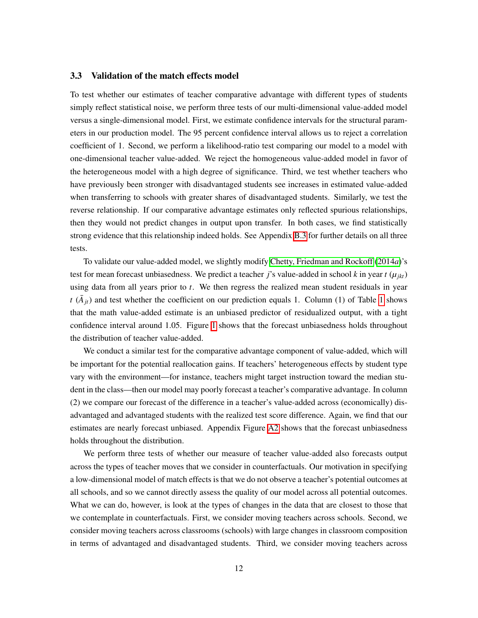## 3.3 Validation of the match effects model

To test whether our estimates of teacher comparative advantage with different types of students simply reflect statistical noise, we perform three tests of our multi-dimensional value-added model versus a single-dimensional model. First, we estimate confidence intervals for the structural parameters in our production model. The 95 percent confidence interval allows us to reject a correlation coefficient of 1. Second, we perform a likelihood-ratio test comparing our model to a model with one-dimensional teacher value-added. We reject the homogeneous value-added model in favor of the heterogeneous model with a high degree of significance. Third, we test whether teachers who have previously been stronger with disadvantaged students see increases in estimated value-added when transferring to schools with greater shares of disadvantaged students. Similarly, we test the reverse relationship. If our comparative advantage estimates only reflected spurious relationships, then they would not predict changes in output upon transfer. In both cases, we find statistically strong evidence that this relationship indeed holds. See Appendix  $\boxed{B.3}$  for further details on all three tests.

To validate our value-added model, we slightly modify [Chetty, Friedman and Rockoff](#page-37-3) [\(2014](#page-37-3)*a*)'s test for mean forecast unbiasedness. We predict a teacher *j*'s value-added in school *k* in year  $t(\mu_{ik})$ using data from all years prior to *t*. We then regress the realized mean student residuals in year *t* ( $\bar{A}_{it}$ ) and test whether the coefficient on our prediction equals [1](#page-42-0). Column (1) of Table 1 shows that the math value-added estimate is an unbiased predictor of residualized output, with a tight confidence interval around [1](#page-49-0).05. Figure  $\overline{\Pi}$  shows that the forecast unbiasedness holds throughout the distribution of teacher value-added.

We conduct a similar test for the comparative advantage component of value-added, which will be important for the potential reallocation gains. If teachers' heterogeneous effects by student type vary with the environment—for instance, teachers might target instruction toward the median student in the class—then our model may poorly forecast a teacher's comparative advantage. In column (2) we compare our forecast of the difference in a teacher's value-added across (economically) disadvantaged and advantaged students with the realized test score difference. Again, we find that our estimates are nearly forecast unbiased. Appendix Figure  $\overline{A2}$  shows that the forecast unbiasedness holds throughout the distribution.

We perform three tests of whether our measure of teacher value-added also forecasts output across the types of teacher moves that we consider in counterfactuals. Our motivation in specifying a low-dimensional model of match effects is that we do not observe a teacher's potential outcomes at all schools, and so we cannot directly assess the quality of our model across all potential outcomes. What we can do, however, is look at the types of changes in the data that are closest to those that we contemplate in counterfactuals. First, we consider moving teachers across schools. Second, we consider moving teachers across classrooms (schools) with large changes in classroom composition in terms of advantaged and disadvantaged students. Third, we consider moving teachers across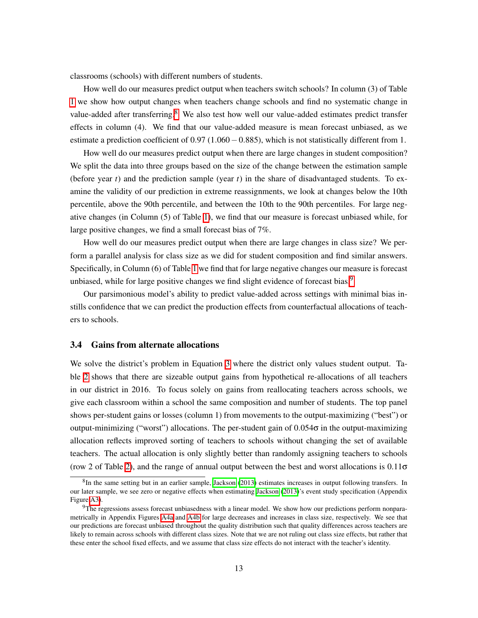classrooms (schools) with different numbers of students.

How well do our measures predict output when teachers switch schools? In column (3) of Table  $\overline{1}$  $\overline{1}$  $\overline{1}$  we show how output changes when teachers change schools and find no systematic change in value-added after transferring.<sup>[8](#page-14-0)</sup> We also test how well our value-added estimates predict transfer effects in column (4). We find that our value-added measure is mean forecast unbiased, as we estimate a prediction coefficient of  $0.97$  (1.060 $-0.885$ ), which is not statistically different from 1.

How well do our measures predict output when there are large changes in student composition? We split the data into three groups based on the size of the change between the estimation sample (before year *t*) and the prediction sample (year *t*) in the share of disadvantaged students. To examine the validity of our prediction in extreme reassignments, we look at changes below the 10th percentile, above the 90th percentile, and between the 10th to the 90th percentiles. For large negative changes (in Column (5) of Table  $\overline{1}$ , we find that our measure is forecast unbiased while, for large positive changes, we find a small forecast bias of 7%.

How well do our measures predict output when there are large changes in class size? We perform a parallel analysis for class size as we did for student composition and find similar answers. Specifically, in Column (6) of Table  $\overline{1}$  we find that for large negative changes our measure is forecast unbiased, while for large positive changes we find slight evidence of forecast bias.<sup>9</sup>

Our parsimonious model's ability to predict value-added across settings with minimal bias instills confidence that we can predict the production effects from counterfactual allocations of teachers to schools.

#### 3.4 Gains from alternate allocations

We solve the district's problem in Equation  $\overline{3}$  where the district only values student output. Table  $\overline{2}$  shows that there are sizeable output gains from hypothetical re-allocations of all teachers in our district in 2016. To focus solely on gains from reallocating teachers across schools, we give each classroom within a school the same composition and number of students. The top panel shows per-student gains or losses (column 1) from movements to the output-maximizing ("best") or output-minimizing ("worst") allocations. The per-student gain of  $0.054\sigma$  in the output-maximizing allocation reflects improved sorting of teachers to schools without changing the set of available teachers. The actual allocation is only slightly better than randomly assigning teachers to schools (row 2 of Table  $\overline{2}$ ), and the range of annual output between the best and worst allocations is 0.11 $\sigma$ 

<span id="page-14-0"></span> ${}^{8}$ In the same setting but in an earlier sample,  $Jackson$  [\(2013\)](#page-39-8) estimates increases in output following transfers. In our later sample, we see zero or negative effects when estimating [Jackson](#page-39-8) [\(2013\)](#page-39-8)'s event study specification (Appendix Figure A3).

<span id="page-14-1"></span> $9$ The regressions assess forecast unbiasedness with a linear model. We show how our predictions perform nonparametrically in Appendix Figures  $\overline{A4a}$  and  $\overline{A4b}$  for large decreases and increases in class size, respectively. We see that our predictions are forecast unbiased throughout the quality distribution such that quality differences across teachers are likely to remain across schools with different class sizes. Note that we are not ruling out class size effects, but rather that these enter the school fixed effects, and we assume that class size effects do not interact with the teacher's identity.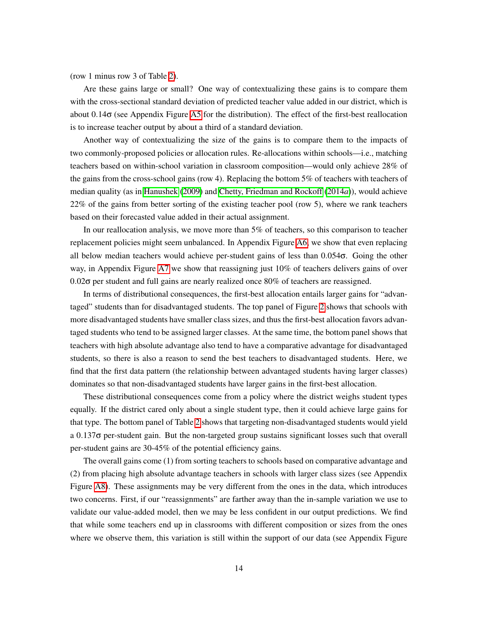(row 1 minus row 3 of Table  $\overline{2}$ ).

Are these gains large or small? One way of contextualizing these gains is to compare them with the cross-sectional standard deviation of predicted teacher value added in our district, which is about 0.14 $\sigma$  (see Appendix Figure  $\overline{AS}$  for the distribution). The effect of the first-best reallocation is to increase teacher output by about a third of a standard deviation.

Another way of contextualizing the size of the gains is to compare them to the impacts of two commonly-proposed policies or allocation rules. Re-allocations within schools—i.e., matching teachers based on within-school variation in classroom composition—would only achieve 28% of the gains from the cross-school gains (row 4). Replacing the bottom 5% of teachers with teachers of median quality (as in [Hanushek](#page-39-11) [\(2009\)](#page-39-11) and [Chetty, Friedman and Rockoff](#page-37-3) [\(2014](#page-37-3)*a*)), would achieve 22% of the gains from better sorting of the existing teacher pool (row 5), where we rank teachers based on their forecasted value added in their actual assignment.

In our reallocation analysis, we move more than 5% of teachers, so this comparison to teacher replacement policies might seem unbalanced. In Appendix Figure  $\overline{A6}$ , we show that even replacing all below median teachers would achieve per-student gains of less than 0.054 $\sigma$ . Going the other way, in Appendix Figure  $\overline{AT}$  we show that reassigning just 10% of teachers delivers gains of over  $0.02\sigma$  per student and full gains are nearly realized once  $80\%$  of teachers are reassigned.

In terms of distributional consequences, the first-best allocation entails larger gains for "advantaged" students than for disadvantaged students. The top panel of Figure  $\sqrt{2}$  shows that schools with more disadvantaged students have smaller class sizes, and thus the first-best allocation favors advantaged students who tend to be assigned larger classes. At the same time, the bottom panel shows that teachers with high absolute advantage also tend to have a comparative advantage for disadvantaged students, so there is also a reason to send the best teachers to disadvantaged students. Here, we find that the first data pattern (the relationship between advantaged students having larger classes) dominates so that non-disadvantaged students have larger gains in the first-best allocation.

These distributional consequences come from a policy where the district weighs student types equally. If the district cared only about a single student type, then it could achieve large gains for that type. The bottom panel of Table  $\sqrt{2}$  shows that targeting non-disadvantaged students would yield  $a$  0.137 $\sigma$  per-student gain. But the non-targeted group sustains significant losses such that overall per-student gains are 30-45% of the potential efficiency gains.

The overall gains come (1) from sorting teachers to schools based on comparative advantage and (2) from placing high absolute advantage teachers in schools with larger class sizes (see Appendix Figure  $\overline{AB}$ ). These assignments may be very different from the ones in the data, which introduces two concerns. First, if our "reassignments" are farther away than the in-sample variation we use to validate our value-added model, then we may be less confident in our output predictions. We find that while some teachers end up in classrooms with different composition or sizes from the ones where we observe them, this variation is still within the support of our data (see Appendix Figure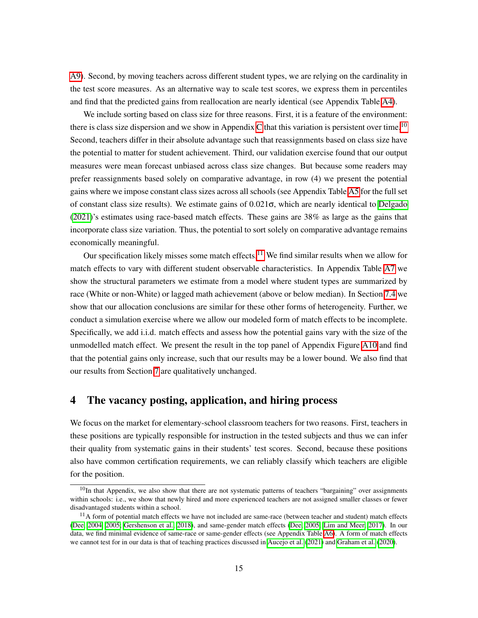A9). Second, by moving teachers across different student types, we are relying on the cardinality in the test score measures. As an alternative way to scale test scores, we express them in percentiles and find that the predicted gains from reallocation are nearly identical (see Appendix Table  $\overline{A4}$ ).

We include sorting based on class size for three reasons. First, it is a feature of the environment: there is class size dispersion and we show in Appendix  $C$  that this variation is persistent over time.<sup>10</sup> Second, teachers differ in their absolute advantage such that reassignments based on class size have the potential to matter for student achievement. Third, our validation exercise found that our output measures were mean forecast unbiased across class size changes. But because some readers may prefer reassignments based solely on comparative advantage, in row (4) we present the potential gains where we impose constant class sizes across all schools (see Appendix Table  $\overline{AS}$  for the full set of constant class size results). We estimate gains of 0.021 $\sigma$ , which are nearly identical to **Delgado**  $(2021)$ 's estimates using race-based match effects. These gains are 38% as large as the gains that incorporate class size variation. Thus, the potential to sort solely on comparative advantage remains economically meaningful.

Our specification likely misses some match effects.<sup> $\overline{11}$  $\overline{11}$  $\overline{11}$ </sup> We find similar results when we allow for match effects to vary with different student observable characteristics. In Appendix Table  $\overline{A7}$  we show the structural parameters we estimate from a model where student types are summarized by race (White or non-White) or lagged math achievement (above or below median). In Section  $\sqrt{7.4}$  we show that our allocation conclusions are similar for these other forms of heterogeneity. Further, we conduct a simulation exercise where we allow our modeled form of match effects to be incomplete. Specifically, we add i.i.d. match effects and assess how the potential gains vary with the size of the unmodelled match effect. We present the result in the top panel of Appendix Figure  $\overline{A10}$  and find that the potential gains only increase, such that our results may be a lower bound. We also find that our results from Section  $\sqrt{7}$  are qualitatively unchanged.

## <span id="page-16-0"></span>4 The vacancy posting, application, and hiring process

We focus on the market for elementary-school classroom teachers for two reasons. First, teachers in these positions are typically responsible for instruction in the tested subjects and thus we can infer their quality from systematic gains in their students' test scores. Second, because these positions also have common certification requirements, we can reliably classify which teachers are eligible for the position.

<span id="page-16-1"></span> $10$ In that Appendix, we also show that there are not systematic patterns of teachers "bargaining" over assignments within schools: i.e., we show that newly hired and more experienced teachers are not assigned smaller classes or fewer disadvantaged students within a school.

<span id="page-16-2"></span> $11A$  form of potential match effects we have not included are same-race (between teacher and student) match effects [\(Dee, 2004,](#page-38-13) [2005;](#page-38-14) [Gershenson et al., 2018\)](#page-39-12), and same-gender match effects [\(Dee, 2005;](#page-38-14) [Lim and Meer, 2017\)](#page-40-11). In our data, we find minimal evidence of same-race or same-gender effects (see Appendix Table  $\overline{A6}$ ). A form of match effects we cannot test for in our data is that of teaching practices discussed in [Aucejo et al.](#page-36-9) [\(2021\)](#page-36-9) and [Graham et al.](#page-39-9) [\(2020\)](#page-39-9).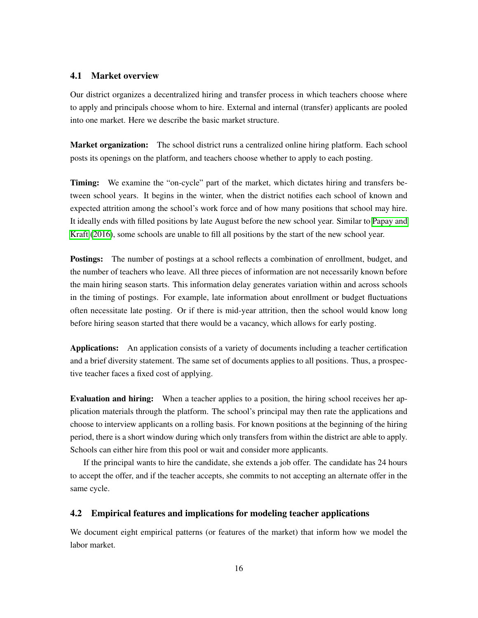#### 4.1 Market overview

Our district organizes a decentralized hiring and transfer process in which teachers choose where to apply and principals choose whom to hire. External and internal (transfer) applicants are pooled into one market. Here we describe the basic market structure.

Market organization: The school district runs a centralized online hiring platform. Each school posts its openings on the platform, and teachers choose whether to apply to each posting.

Timing: We examine the "on-cycle" part of the market, which dictates hiring and transfers between school years. It begins in the winter, when the district notifies each school of known and expected attrition among the school's work force and of how many positions that school may hire. It ideally ends with filled positions by late August before the new school year. Similar to [Papay and](#page-40-12) **[Kraft](#page-40-12) [\(2016\)](#page-40-12)**, some schools are unable to fill all positions by the start of the new school year.

Postings: The number of postings at a school reflects a combination of enrollment, budget, and the number of teachers who leave. All three pieces of information are not necessarily known before the main hiring season starts. This information delay generates variation within and across schools in the timing of postings. For example, late information about enrollment or budget fluctuations often necessitate late posting. Or if there is mid-year attrition, then the school would know long before hiring season started that there would be a vacancy, which allows for early posting.

Applications: An application consists of a variety of documents including a teacher certification and a brief diversity statement. The same set of documents applies to all positions. Thus, a prospective teacher faces a fixed cost of applying.

Evaluation and hiring: When a teacher applies to a position, the hiring school receives her application materials through the platform. The school's principal may then rate the applications and choose to interview applicants on a rolling basis. For known positions at the beginning of the hiring period, there is a short window during which only transfers from within the district are able to apply. Schools can either hire from this pool or wait and consider more applicants.

If the principal wants to hire the candidate, she extends a job offer. The candidate has 24 hours to accept the offer, and if the teacher accepts, she commits to not accepting an alternate offer in the same cycle.

## 4.2 Empirical features and implications for modeling teacher applications

We document eight empirical patterns (or features of the market) that inform how we model the labor market.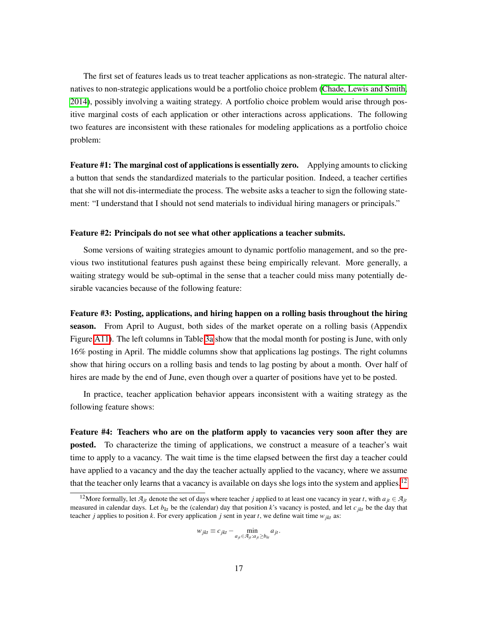The first set of features leads us to treat teacher applications as non-strategic. The natural alternatives to non-strategic applications would be a portfolio choice problem [\(Chade, Lewis and Smith,](#page-37-12) [2014\)](#page-37-12), possibly involving a waiting strategy. A portfolio choice problem would arise through positive marginal costs of each application or other interactions across applications. The following two features are inconsistent with these rationales for modeling applications as a portfolio choice problem:

Feature #1: The marginal cost of applications is essentially zero. Applying amounts to clicking a button that sends the standardized materials to the particular position. Indeed, a teacher certifies that she will not dis-intermediate the process. The website asks a teacher to sign the following statement: "I understand that I should not send materials to individual hiring managers or principals."

#### Feature #2: Principals do not see what other applications a teacher submits.

Some versions of waiting strategies amount to dynamic portfolio management, and so the previous two institutional features push against these being empirically relevant. More generally, a waiting strategy would be sub-optimal in the sense that a teacher could miss many potentially desirable vacancies because of the following feature:

Feature #3: Posting, applications, and hiring happen on a rolling basis throughout the hiring season. From April to August, both sides of the market operate on a rolling basis (Appendix Figure  $\overline{A11}$ . The left columns in Table  $\overline{3a}$  show that the modal month for posting is June, with only 16% posting in April. The middle columns show that applications lag postings. The right columns show that hiring occurs on a rolling basis and tends to lag posting by about a month. Over half of hires are made by the end of June, even though over a quarter of positions have yet to be posted.

In practice, teacher application behavior appears inconsistent with a waiting strategy as the following feature shows:

Feature #4: Teachers who are on the platform apply to vacancies very soon after they are posted. To characterize the timing of applications, we construct a measure of a teacher's wait time to apply to a vacancy. The wait time is the time elapsed between the first day a teacher could have applied to a vacancy and the day the teacher actually applied to the vacancy, where we assume that the teacher only learns that a vacancy is available on days she logs into the system and applies.<sup>[12]</sup>

$$
w_{jkt} \equiv c_{jkt} - \min_{a_{jt} \in \mathcal{A}_{jt}: a_{jt} \ge b_{kt}} a_{jt}.
$$

<span id="page-18-0"></span><sup>&</sup>lt;sup>12</sup> More formally, let  $A_{it}$  denote the set of days where teacher *j* applied to at least one vacancy in year *t*, with  $a_{jt} \in A_{jt}$ measured in calendar days. Let  $b_{kt}$  be the (calendar) day that position  $k$ 's vacancy is posted, and let  $c_{ikt}$  be the day that teacher *j* applies to position *k*. For every application *j* sent in year *t*, we define wait time  $w_{jkt}$  as: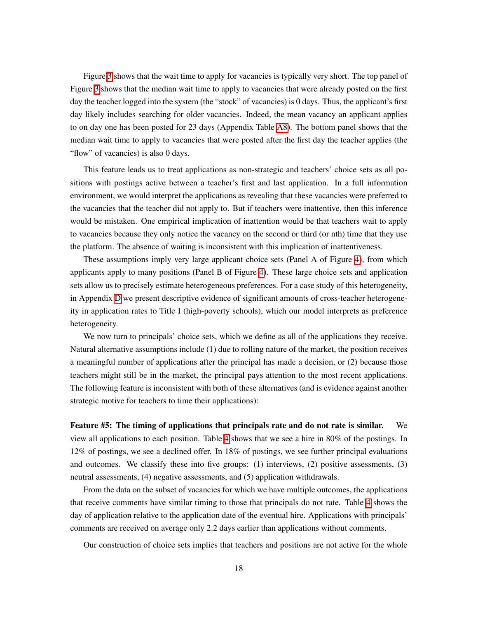Figure  $\overline{3}$  shows that the wait time to apply for vacancies is typically very short. The top panel of Figure  $\beta$  shows that the median wait time to apply to vacancies that were already posted on the first day the teacher logged into the system (the "stock" of vacancies) is 0 days. Thus, the applicant's first day likely includes searching for older vacancies. Indeed, the mean vacancy an applicant applies to on day one has been posted for 23 days (Appendix Table  $\overline{AB}$ ). The bottom panel shows that the median wait time to apply to vacancies that were posted after the first day the teacher applies (the "flow" of vacancies) is also 0 days.

This feature leads us to treat applications as non-strategic and teachers' choice sets as all positions with postings active between a teacher's first and last application. In a full information environment, we would interpret the applications as revealing that these vacancies were preferred to the vacancies that the teacher did not apply to. But if teachers were inattentive, then this inference would be mistaken. One empirical implication of inattention would be that teachers wait to apply to vacancies because they only notice the vacancy on the second or third (or nth) time that they use the platform. The absence of waiting is inconsistent with this implication of inattentiveness.

These assumptions imply very large applicant choice sets (Panel A of Figure  $\overline{4}$ ), from which applicants apply to many positions (Panel B of Figure  $\overline{4}$ ). These large choice sets and application sets allow us to precisely estimate heterogeneous preferences. For a case study of this heterogeneity, in Appendix  $\overline{D}$  we present descriptive evidence of significant amounts of cross-teacher heterogeneity in application rates to Title I (high-poverty schools), which our model interprets as preference heterogeneity.

We now turn to principals' choice sets, which we define as all of the applications they receive. Natural alternative assumptions include (1) due to rolling nature of the market, the position receives a meaningful number of applications after the principal has made a decision, or (2) because those teachers might still be in the market, the principal pays attention to the most recent applications. The following feature is inconsistent with both of these alternatives (and is evidence against another strategic motive for teachers to time their applications):

Feature #5: The timing of applications that principals rate and do not rate is similar. We view all applications to each position. Table  $\overline{A}$  shows that we see a hire in 80% of the postings. In 12% of postings, we see a declined offer. In 18% of postings, we see further principal evaluations and outcomes. We classify these into five groups: (1) interviews, (2) positive assessments, (3) neutral assessments, (4) negative assessments, and (5) application withdrawals.

From the data on the subset of vacancies for which we have multiple outcomes, the applications that receive comments have similar timing to those that principals do not rate. Table  $\frac{A}{A}$  shows the day of application relative to the application date of the eventual hire. Applications with principals' comments are received on average only 2.2 days earlier than applications without comments.

Our construction of choice sets implies that teachers and positions are not active for the whole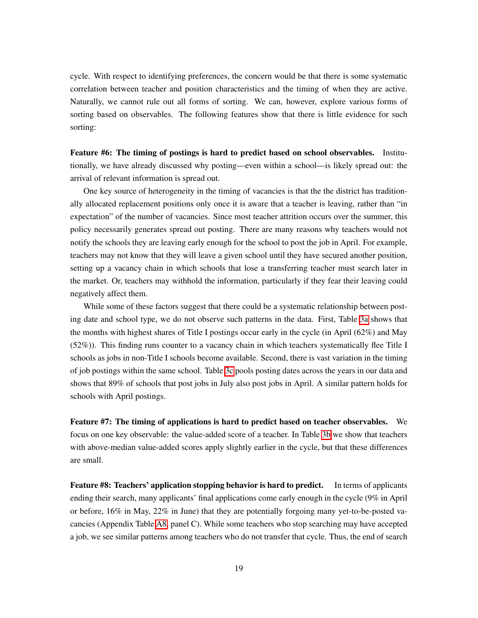cycle. With respect to identifying preferences, the concern would be that there is some systematic correlation between teacher and position characteristics and the timing of when they are active. Naturally, we cannot rule out all forms of sorting. We can, however, explore various forms of sorting based on observables. The following features show that there is little evidence for such sorting:

Feature #6: The timing of postings is hard to predict based on school observables. Institutionally, we have already discussed why posting—even within a school—is likely spread out: the arrival of relevant information is spread out.

One key source of heterogeneity in the timing of vacancies is that the the district has traditionally allocated replacement positions only once it is aware that a teacher is leaving, rather than "in expectation" of the number of vacancies. Since most teacher attrition occurs over the summer, this policy necessarily generates spread out posting. There are many reasons why teachers would not notify the schools they are leaving early enough for the school to post the job in April. For example, teachers may not know that they will leave a given school until they have secured another position, setting up a vacancy chain in which schools that lose a transferring teacher must search later in the market. Or, teachers may withhold the information, particularly if they fear their leaving could negatively affect them.

While some of these factors suggest that there could be a systematic relationship between posting date and school type, we do not observe such patterns in the data. First, Table  $\overline{3a}$  shows that the months with highest shares of Title I postings occur early in the cycle (in April (62%) and May (52%)). This finding runs counter to a vacancy chain in which teachers systematically flee Title I schools as jobs in non-Title I schools become available. Second, there is vast variation in the timing of job postings within the same school. Table  $\overline{3c}$  pools posting dates across the years in our data and shows that 89% of schools that post jobs in July also post jobs in April. A similar pattern holds for schools with April postings.

Feature #7: The timing of applications is hard to predict based on teacher observables. We focus on one key observable: the value-added score of a teacher. In Table  $3b$  we show that teachers with above-median value-added scores apply slightly earlier in the cycle, but that these differences are small.

Feature #8: Teachers' application stopping behavior is hard to predict. In terms of applicants ending their search, many applicants' final applications come early enough in the cycle (9% in April or before, 16% in May, 22% in June) that they are potentially forgoing many yet-to-be-posted vacancies (Appendix Table  $\overline{AB}$ , panel C). While some teachers who stop searching may have accepted a job, we see similar patterns among teachers who do not transfer that cycle. Thus, the end of search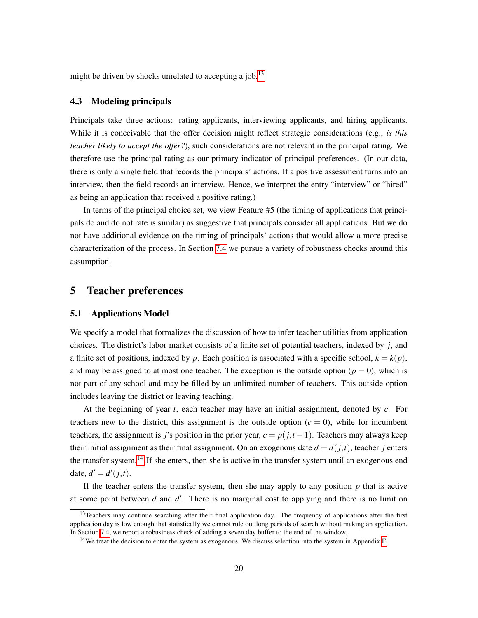might be driven by shocks unrelated to accepting a job.<sup>[3]</sup>

### 4.3 Modeling principals

Principals take three actions: rating applicants, interviewing applicants, and hiring applicants. While it is conceivable that the offer decision might reflect strategic considerations (e.g., *is this teacher likely to accept the offer?*), such considerations are not relevant in the principal rating. We therefore use the principal rating as our primary indicator of principal preferences. (In our data, there is only a single field that records the principals' actions. If a positive assessment turns into an interview, then the field records an interview. Hence, we interpret the entry "interview" or "hired" as being an application that received a positive rating.)

In terms of the principal choice set, we view Feature #5 (the timing of applications that principals do and do not rate is similar) as suggestive that principals consider all applications. But we do not have additional evidence on the timing of principals' actions that would allow a more precise characterization of the process. In Section  $\sqrt{7.4}$  we pursue a variety of robustness checks around this assumption.

## <span id="page-21-0"></span>5 Teacher preferences

## 5.1 Applications Model

We specify a model that formalizes the discussion of how to infer teacher utilities from application choices. The district's labor market consists of a finite set of potential teachers, indexed by *j*, and a finite set of positions, indexed by *p*. Each position is associated with a specific school,  $k = k(p)$ , and may be assigned to at most one teacher. The exception is the outside option ( $p = 0$ ), which is not part of any school and may be filled by an unlimited number of teachers. This outside option includes leaving the district or leaving teaching.

At the beginning of year *t*, each teacher may have an initial assignment, denoted by *c*. For teachers new to the district, this assignment is the outside option  $(c = 0)$ , while for incumbent teachers, the assignment is *j*'s position in the prior year,  $c = p(j,t-1)$ . Teachers may always keep their initial assignment as their final assignment. On an exogenous date  $d = d(j,t)$ , teacher *j* enters the transfer system.<sup>[[14](#page-21-2)]</sup> If she enters, then she is active in the transfer system until an exogenous end date,  $d' = d'(j,t)$ .

If the teacher enters the transfer system, then she may apply to any position  $p$  that is active at some point between  $d$  and  $d'$ . There is no marginal cost to applying and there is no limit on

<span id="page-21-1"></span><sup>&</sup>lt;sup>13</sup>Teachers may continue searching after their final application day. The frequency of applications after the first application day is low enough that statistically we cannot rule out long periods of search without making an application. In Section  $\overline{7.4}$ , we report a robustness check of adding a seven day buffer to the end of the window.

<span id="page-21-2"></span><sup>&</sup>lt;sup>14</sup>We treat the decision to enter the system as exogenous. We discuss selection into the system in Appendix  $E$ .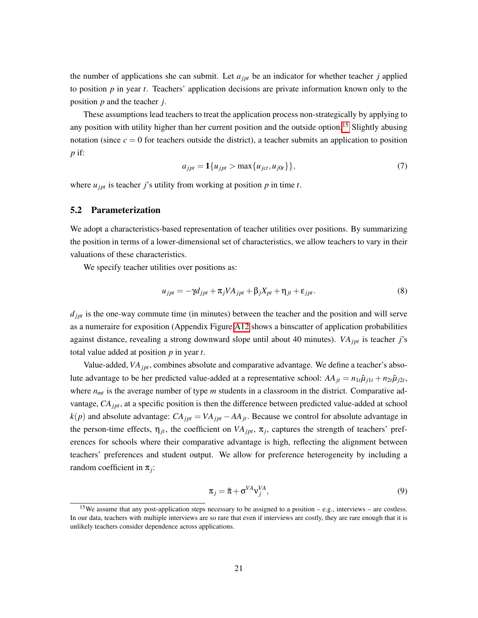the number of applications she can submit. Let  $a_{jpt}$  be an indicator for whether teacher *j* applied to position  $p$  in year  $t$ . Teachers' application decisions are private information known only to the position *p* and the teacher *j*.

These assumptions lead teachers to treat the application process non-strategically by applying to any position with utility higher than her current position and the outside option.<sup>15</sup> Slightly abusing notation (since  $c = 0$  for teachers outside the district), a teacher submits an application to position *p* if:

$$
a_{jpt} = \mathbf{1}\{u_{jpt} > \max\{u_{jct}, u_{j0t}\}\},\tag{7}
$$

where  $u_{jpt}$  is teacher *j*'s utility from working at position *p* in time *t*.

## 5.2 Parameterization

We adopt a characteristics-based representation of teacher utilities over positions. By summarizing the position in terms of a lower-dimensional set of characteristics, we allow teachers to vary in their valuations of these characteristics.

We specify teacher utilities over positions as:

$$
u_{jpt} = -\gamma d_{jpt} + \pi_j V A_{jpt} + \beta_j X_{pt} + \eta_{jt} + \varepsilon_{jpt}.
$$
\n(8)

 $d_{\text{int}}$  is the one-way commute time (in minutes) between the teacher and the position and will serve as a numeraire for exposition (Appendix Figure  $\boxed{A12}$  shows a binscatter of application probabilities against distance, revealing a strong downward slope until about 40 minutes). *VA<sub>jpt</sub>* is teacher *j*'s total value added at position *p* in year *t*.

Value-added, *VA<sub>ipt</sub>*, combines absolute and comparative advantage. We define a teacher's absolute advantage to be her predicted value-added at a representative school:  $AA_{jt} = n_{1t}\hat{\mu}_{j1t} + n_{2t}\hat{\mu}_{j2t}$ , where  $n_{mt}$  is the average number of type *m* students in a classroom in the district. Comparative advantage, *CA<sub>ipt</sub>*, at a specific position is then the difference between predicted value-added at school  $k(p)$  and absolute advantage:  $CA_{\text{int}} = VA_{\text{int}} - AA_{\text{it}}$ . Because we control for absolute advantage in the person-time effects,  $\eta_{it}$ , the coefficient on  $VA_{ipt}$ ,  $\pi_i$ , captures the strength of teachers' preferences for schools where their comparative advantage is high, reflecting the alignment between teachers' preferences and student output. We allow for preference heterogeneity by including a random coefficient in  $\pi_i$ :

$$
\pi_j = \bar{\pi} + \sigma^{VA} v_j^{VA},\tag{9}
$$

<span id="page-22-0"></span><sup>&</sup>lt;sup>15</sup>We assume that any post-application steps necessary to be assigned to a position – e.g., interviews – are costless. In our data, teachers with multiple interviews are so rare that even if interviews are costly, they are rare enough that it is unlikely teachers consider dependence across applications.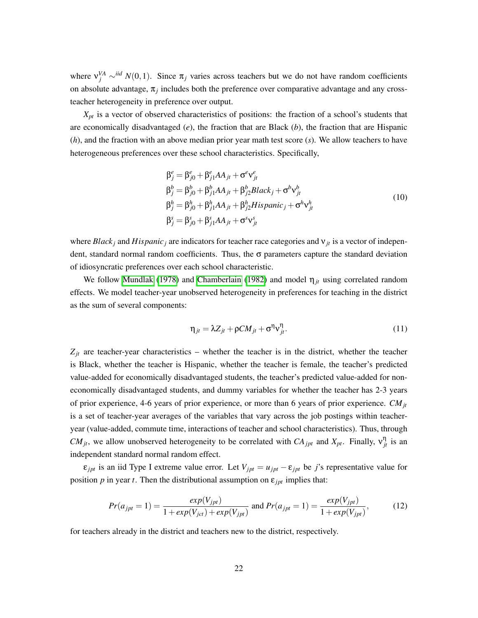where  $v_j^{VA} \sim^{iid} N(0,1)$ . Since  $\pi_j$  varies across teachers but we do not have random coefficients on absolute advantage,  $\pi_j$  includes both the preference over comparative advantage and any crossteacher heterogeneity in preference over output.

 $X_{pt}$  is a vector of observed characteristics of positions: the fraction of a school's students that are economically disadvantaged (*e*), the fraction that are Black (*b*), the fraction that are Hispanic (*h*), and the fraction with an above median prior year math test score (*s*). We allow teachers to have heterogeneous preferences over these school characteristics. Specifically,

$$
\beta_j^e = \beta_{j0}^e + \beta_{j1}^e AA_{jt} + \sigma^e v_{jt}^e
$$
\n
$$
\beta_j^b = \beta_{j0}^b + \beta_{j1}^b AA_{jt} + \beta_{j2}^b Black_j + \sigma^b v_{jt}^b
$$
\n
$$
\beta_j^h = \beta_{j0}^h + \beta_{j1}^h AA_{jt} + \beta_{j2}^h Hispanic_j + \sigma^h v_{jt}^h
$$
\n
$$
\beta_j^s = \beta_{j0}^s + \beta_{j1}^s AA_{jt} + \sigma^s v_{jt}^s
$$
\n(10)

where  $Black_j$  and  $Hispanic_j$  are indicators for teacher race categories and  $v_{jt}$  is a vector of independent, standard normal random coefficients. Thus, the  $\sigma$  parameters capture the standard deviation of idiosyncratic preferences over each school characteristic.

We follow [Mundlak](#page-40-13) [\(1978\)](#page-40-13) and [Chamberlain](#page-37-13) [\(1982\)](#page-37-13) and model  $\eta_{it}$  using correlated random effects. We model teacher-year unobserved heterogeneity in preferences for teaching in the district as the sum of several components:

$$
\eta_{jt} = \lambda Z_{jt} + \rho C M_{jt} + \sigma^{\eta} v_{jt}^{\eta}.
$$
\n(11)

 $Z_{jt}$  are teacher-year characteristics – whether the teacher is in the district, whether the teacher is Black, whether the teacher is Hispanic, whether the teacher is female, the teacher's predicted value-added for economically disadvantaged students, the teacher's predicted value-added for noneconomically disadvantaged students, and dummy variables for whether the teacher has 2-3 years of prior experience, 4-6 years of prior experience, or more than 6 years of prior experience. *CM<sub>it</sub>* is a set of teacher-year averages of the variables that vary across the job postings within teacheryear (value-added, commute time, interactions of teacher and school characteristics). Thus, through *CM<sub>jt</sub>*, we allow unobserved heterogeneity to be correlated with  $CA_{jpt}$  and  $X_{pt}$ . Finally,  $v_{jt}^{\eta}$  is an independent standard normal random effect.

 $\varepsilon_{\text{int}}$  is an iid Type I extreme value error. Let  $V_{\text{int}} = u_{\text{int}} - \varepsilon_{\text{int}}$  be *j*'s representative value for position  $p$  in year  $t$ . Then the distributional assumption on  $\varepsilon_{\text{int}}$  implies that:

$$
Pr(a_{jpt} = 1) = \frac{exp(V_{jpt})}{1 + exp(V_{jct}) + exp(V_{jpt})} \text{ and } Pr(a_{jpt} = 1) = \frac{exp(V_{jpt})}{1 + exp(V_{jpt})},
$$
(12)

for teachers already in the district and teachers new to the district, respectively.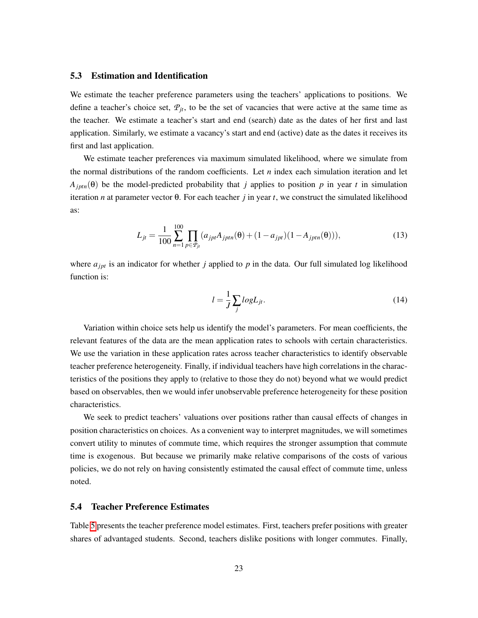## 5.3 Estimation and Identification

We estimate the teacher preference parameters using the teachers' applications to positions. We define a teacher's choice set,  $P_{it}$ , to be the set of vacancies that were active at the same time as the teacher. We estimate a teacher's start and end (search) date as the dates of her first and last application. Similarly, we estimate a vacancy's start and end (active) date as the dates it receives its first and last application.

We estimate teacher preferences via maximum simulated likelihood, where we simulate from the normal distributions of the random coefficients. Let  $n$  index each simulation iteration and let  $A_{jptn}(\theta)$  be the model-predicted probability that *j* applies to position *p* in year *t* in simulation iteration *n* at parameter vector  $\theta$ . For each teacher *j* in year *t*, we construct the simulated likelihood as:

$$
L_{jt} = \frac{1}{100} \sum_{n=1}^{100} \prod_{p \in \mathcal{P}_{jt}} (a_{jpt} A_{jptn}(\theta) + (1 - a_{jpt})(1 - A_{jptn}(\theta))), \qquad (13)
$$

where  $a_{\text{int}}$  is an indicator for whether *j* applied to *p* in the data. Our full simulated log likelihood function is:

$$
l = \frac{1}{J} \sum_{j} log L_{jt}.
$$
\n(14)

Variation within choice sets help us identify the model's parameters. For mean coefficients, the relevant features of the data are the mean application rates to schools with certain characteristics. We use the variation in these application rates across teacher characteristics to identify observable teacher preference heterogeneity. Finally, if individual teachers have high correlations in the characteristics of the positions they apply to (relative to those they do not) beyond what we would predict based on observables, then we would infer unobservable preference heterogeneity for these position characteristics.

We seek to predict teachers' valuations over positions rather than causal effects of changes in position characteristics on choices. As a convenient way to interpret magnitudes, we will sometimes convert utility to minutes of commute time, which requires the stronger assumption that commute time is exogenous. But because we primarily make relative comparisons of the costs of various policies, we do not rely on having consistently estimated the causal effect of commute time, unless noted.

## 5.4 Teacher Preference Estimates

Table  $\overline{5}$  presents the teacher preference model estimates. First, teachers prefer positions with greater shares of advantaged students. Second, teachers dislike positions with longer commutes. Finally,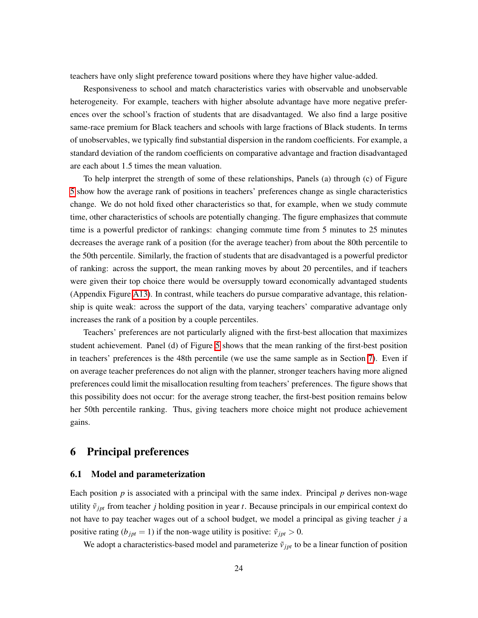teachers have only slight preference toward positions where they have higher value-added.

Responsiveness to school and match characteristics varies with observable and unobservable heterogeneity. For example, teachers with higher absolute advantage have more negative preferences over the school's fraction of students that are disadvantaged. We also find a large positive same-race premium for Black teachers and schools with large fractions of Black students. In terms of unobservables, we typically find substantial dispersion in the random coefficients. For example, a standard deviation of the random coefficients on comparative advantage and fraction disadvantaged are each about 1*.*5 times the mean valuation.

To help interpret the strength of some of these relationships, Panels (a) through (c) of Figure [5](#page-53-0) show how the average rank of positions in teachers' preferences change as single characteristics change. We do not hold fixed other characteristics so that, for example, when we study commute time, other characteristics of schools are potentially changing. The figure emphasizes that commute time is a powerful predictor of rankings: changing commute time from 5 minutes to 25 minutes decreases the average rank of a position (for the average teacher) from about the 80th percentile to the 50th percentile. Similarly, the fraction of students that are disadvantaged is a powerful predictor of ranking: across the support, the mean ranking moves by about 20 percentiles, and if teachers were given their top choice there would be oversupply toward economically advantaged students (Appendix Figure  $\overline{A13}$ ). In contrast, while teachers do pursue comparative advantage, this relationship is quite weak: across the support of the data, varying teachers' comparative advantage only increases the rank of a position by a couple percentiles.

Teachers' preferences are not particularly aligned with the first-best allocation that maximizes student achievement. Panel (d) of Figure  $\overline{5}$  shows that the mean ranking of the first-best position in teachers' preferences is the 48th percentile (we use the same sample as in Section  $\overline{7}$ ). Even if on average teacher preferences do not align with the planner, stronger teachers having more aligned preferences could limit the misallocation resulting from teachers' preferences. The figure shows that this possibility does not occur: for the average strong teacher, the first-best position remains below her 50th percentile ranking. Thus, giving teachers more choice might not produce achievement gains.

# <span id="page-25-0"></span>6 Principal preferences

## 6.1 Model and parameterization

Each position  $p$  is associated with a principal with the same index. Principal  $p$  derives non-wage utility  $\tilde{v}_{jpt}$  from teacher *j* holding position in year *t*. Because principals in our empirical context do not have to pay teacher wages out of a school budget, we model a principal as giving teacher *j* a positive rating ( $b_{jpt} = 1$ ) if the non-wage utility is positive:  $\tilde{v}_{jpt} > 0$ .

We adopt a characteristics-based model and parameterize  $\tilde{v}_{jpt}$  to be a linear function of position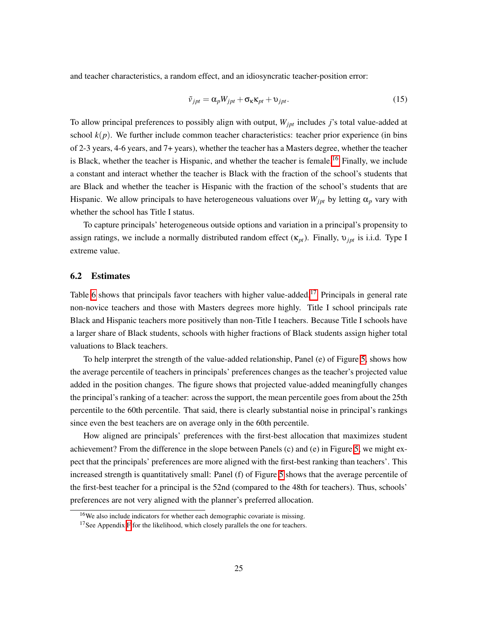and teacher characteristics, a random effect, and an idiosyncratic teacher-position error:

$$
\tilde{v}_{jpt} = \alpha_p W_{jpt} + \sigma_{\kappa} \kappa_{pt} + \upsilon_{jpt}.
$$
\n(15)

To allow principal preferences to possibly align with output,  $W_{\text{int}}$  includes *j*'s total value-added at school  $k(p)$ . We further include common teacher characteristics: teacher prior experience (in bins of 2-3 years, 4-6 years, and 7+ years), whether the teacher has a Masters degree, whether the teacher is Black, whether the teacher is Hispanic, and whether the teacher is female.<sup>[[16](#page-26-0)]</sup> Finally, we include a constant and interact whether the teacher is Black with the fraction of the school's students that are Black and whether the teacher is Hispanic with the fraction of the school's students that are Hispanic. We allow principals to have heterogeneous valuations over  $W_{jpt}$  by letting  $\alpha_p$  vary with whether the school has Title I status.

To capture principals' heterogeneous outside options and variation in a principal's propensity to assign ratings, we include a normally distributed random effect  $(\kappa_{pt})$ . Finally,  $v_{jpt}$  is i.i.d. Type I extreme value.

## 6.2 Estimates

Table  $\overline{6}$  shows that principals favor teachers with higher value-added.<sup>[[17](#page-26-1)]</sup> Principals in general rate non-novice teachers and those with Masters degrees more highly. Title I school principals rate Black and Hispanic teachers more positively than non-Title I teachers. Because Title I schools have a larger share of Black students, schools with higher fractions of Black students assign higher total valuations to Black teachers.

To help interpret the strength of the value-added relationship, Panel (e) of Figure  $\overline{5}$ , shows how the average percentile of teachers in principals' preferences changes as the teacher's projected value added in the position changes. The figure shows that projected value-added meaningfully changes the principal's ranking of a teacher: across the support, the mean percentile goes from about the 25th percentile to the 60th percentile. That said, there is clearly substantial noise in principal's rankings since even the best teachers are on average only in the 60th percentile.

How aligned are principals' preferences with the first-best allocation that maximizes student achievement? From the difference in the slope between Panels (c) and (e) in Figure  $\overline{5}$ , we might expect that the principals' preferences are more aligned with the first-best ranking than teachers'. This increased strength is quantitatively small: Panel (f) of Figure  $\overline{5}$  shows that the average percentile of the first-best teacher for a principal is the 52nd (compared to the 48th for teachers). Thus, schools' preferences are not very aligned with the planner's preferred allocation.

<span id="page-26-0"></span><sup>16</sup>We also include indicators for whether each demographic covariate is missing.

<span id="page-26-1"></span><sup>&</sup>lt;sup>17</sup>See Appendix  $\mathbf{F}$  for the likelihood, which closely parallels the one for teachers.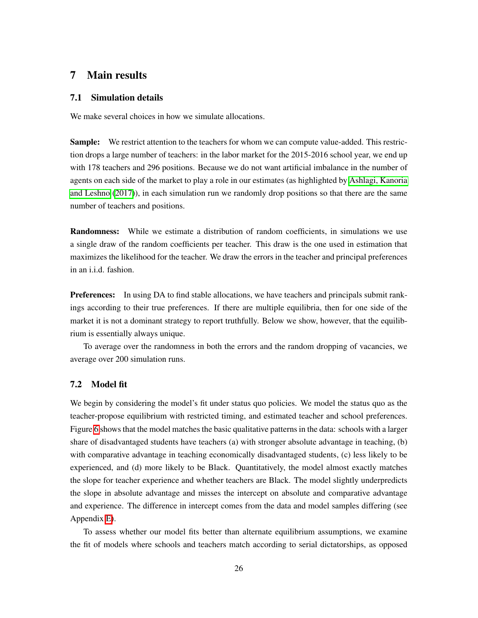# <span id="page-27-0"></span>7 Main results

#### 7.1 Simulation details

We make several choices in how we simulate allocations.

Sample: We restrict attention to the teachers for whom we can compute value-added. This restriction drops a large number of teachers: in the labor market for the 2015-2016 school year, we end up with 178 teachers and 296 positions. Because we do not want artificial imbalance in the number of agents on each side of the market to play a role in our estimates (as highlighted by **Ashlagi**, Kanoria [and Leshno](#page-36-10)  $(2017)$ ), in each simulation run we randomly drop positions so that there are the same number of teachers and positions.

Randomness: While we estimate a distribution of random coefficients, in simulations we use a single draw of the random coefficients per teacher. This draw is the one used in estimation that maximizes the likelihood for the teacher. We draw the errors in the teacher and principal preferences in an i.i.d. fashion.

**Preferences:** In using DA to find stable allocations, we have teachers and principals submit rankings according to their true preferences. If there are multiple equilibria, then for one side of the market it is not a dominant strategy to report truthfully. Below we show, however, that the equilibrium is essentially always unique.

To average over the randomness in both the errors and the random dropping of vacancies, we average over 200 simulation runs.

## 7.2 Model fit

We begin by considering the model's fit under status quo policies. We model the status quo as the teacher-propose equilibrium with restricted timing, and estimated teacher and school preferences. Figure  $\overline{6}$  shows that the model matches the basic qualitative patterns in the data: schools with a larger share of disadvantaged students have teachers (a) with stronger absolute advantage in teaching, (b) with comparative advantage in teaching economically disadvantaged students, (c) less likely to be experienced, and (d) more likely to be Black. Quantitatively, the model almost exactly matches the slope for teacher experience and whether teachers are Black. The model slightly underpredicts the slope in absolute advantage and misses the intercept on absolute and comparative advantage and experience. The difference in intercept comes from the data and model samples differing (see Appendix  $E$ ).

To assess whether our model fits better than alternate equilibrium assumptions, we examine the fit of models where schools and teachers match according to serial dictatorships, as opposed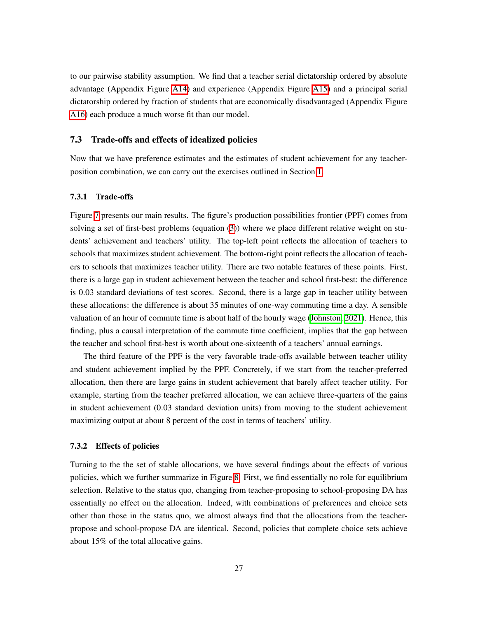to our pairwise stability assumption. We find that a teacher serial dictatorship ordered by absolute advantage (Appendix Figure  $\overline{A14}$ ) and experience (Appendix Figure  $\overline{A15}$ ) and a principal serial dictatorship ordered by fraction of students that are economically disadvantaged (Appendix Figure A16) each produce a much worse fit than our model.

#### 7.3 Trade-offs and effects of idealized policies

Now that we have preference estimates and the estimates of student achievement for any teacherposition combination, we can carry out the exercises outlined in Section  $\overline{1}$ .

#### 7.3.1 Trade-offs

Figure  $\sqrt{7}$  presents our main results. The figure's production possibilities frontier (PPF) comes from solving a set of first-best problems (equation  $(\overline{3})$ ) where we place different relative weight on students' achievement and teachers' utility. The top-left point reflects the allocation of teachers to schools that maximizes student achievement. The bottom-right point reflects the allocation of teachers to schools that maximizes teacher utility. There are two notable features of these points. First, there is a large gap in student achievement between the teacher and school first-best: the difference is 0*.*03 standard deviations of test scores. Second, there is a large gap in teacher utility between these allocations: the difference is about 35 minutes of one-way commuting time a day. A sensible valuation of an hour of commute time is about half of the hourly wage  $(Johnston, 2021)$ . Hence, this finding, plus a causal interpretation of the commute time coefficient, implies that the gap between the teacher and school first-best is worth about one-sixteenth of a teachers' annual earnings.

The third feature of the PPF is the very favorable trade-offs available between teacher utility and student achievement implied by the PPF. Concretely, if we start from the teacher-preferred allocation, then there are large gains in student achievement that barely affect teacher utility. For example, starting from the teacher preferred allocation, we can achieve three-quarters of the gains in student achievement (0*.*03 standard deviation units) from moving to the student achievement maximizing output at about 8 percent of the cost in terms of teachers' utility.

#### 7.3.2 Effects of policies

Turning to the the set of stable allocations, we have several findings about the effects of various policies, which we further summarize in Figure  $\overline{8}$ . First, we find essentially no role for equilibrium selection. Relative to the status quo, changing from teacher-proposing to school-proposing DA has essentially no effect on the allocation. Indeed, with combinations of preferences and choice sets other than those in the status quo, we almost always find that the allocations from the teacherpropose and school-propose DA are identical. Second, policies that complete choice sets achieve about 15% of the total allocative gains.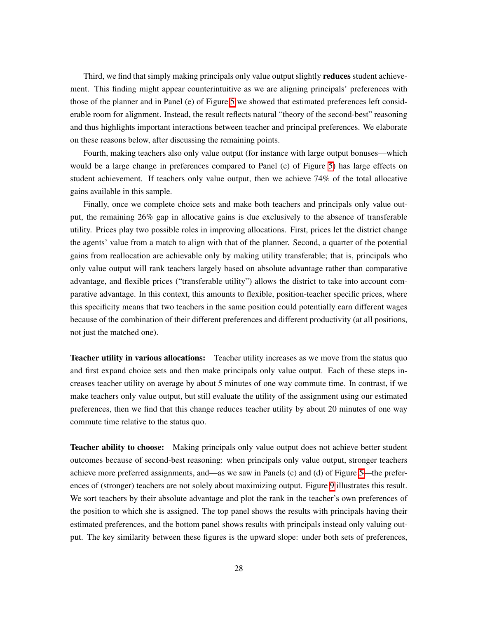Third, we find that simply making principals only value output slightly **reduces** student achievement. This finding might appear counterintuitive as we are aligning principals' preferences with those of the planner and in Panel (e) of Figure  $\sqrt{5}$  we showed that estimated preferences left considerable room for alignment. Instead, the result reflects natural "theory of the second-best" reasoning and thus highlights important interactions between teacher and principal preferences. We elaborate on these reasons below, after discussing the remaining points.

Fourth, making teachers also only value output (for instance with large output bonuses—which would be a large change in preferences compared to Panel (c) of Figure  $\overline{5}$  has large effects on student achievement. If teachers only value output, then we achieve 74% of the total allocative gains available in this sample.

Finally, once we complete choice sets and make both teachers and principals only value output, the remaining 26% gap in allocative gains is due exclusively to the absence of transferable utility. Prices play two possible roles in improving allocations. First, prices let the district change the agents' value from a match to align with that of the planner. Second, a quarter of the potential gains from reallocation are achievable only by making utility transferable; that is, principals who only value output will rank teachers largely based on absolute advantage rather than comparative advantage, and flexible prices ("transferable utility") allows the district to take into account comparative advantage. In this context, this amounts to flexible, position-teacher specific prices, where this specificity means that two teachers in the same position could potentially earn different wages because of the combination of their different preferences and different productivity (at all positions, not just the matched one).

**Teacher utility in various allocations:** Teacher utility increases as we move from the status quo and first expand choice sets and then make principals only value output. Each of these steps increases teacher utility on average by about 5 minutes of one way commute time. In contrast, if we make teachers only value output, but still evaluate the utility of the assignment using our estimated preferences, then we find that this change reduces teacher utility by about 20 minutes of one way commute time relative to the status quo.

**Teacher ability to choose:** Making principals only value output does not achieve better student outcomes because of second-best reasoning: when principals only value output, stronger teachers achieve more preferred assignments, and—as we saw in Panels (c) and (d) of Figure  $\overline{5}$ —the preferences of (stronger) teachers are not solely about maximizing output. Figure  $\overline{9}$  illustrates this result. We sort teachers by their absolute advantage and plot the rank in the teacher's own preferences of the position to which she is assigned. The top panel shows the results with principals having their estimated preferences, and the bottom panel shows results with principals instead only valuing output. The key similarity between these figures is the upward slope: under both sets of preferences,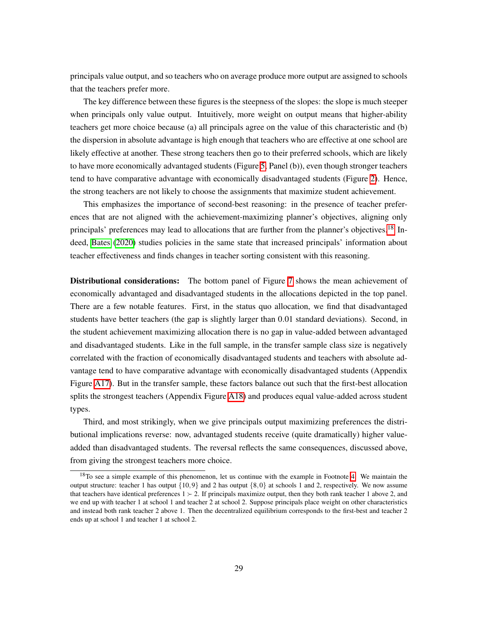principals value output, and so teachers who on average produce more output are assigned to schools that the teachers prefer more.

The key difference between these figures is the steepness of the slopes: the slope is much steeper when principals only value output. Intuitively, more weight on output means that higher-ability teachers get more choice because (a) all principals agree on the value of this characteristic and (b) the dispersion in absolute advantage is high enough that teachers who are effective at one school are likely effective at another. These strong teachers then go to their preferred schools, which are likely to have more economically advantaged students (Figure  $\sqrt{5}$ , Panel (b)), even though stronger teachers tend to have comparative advantage with economically disadvantaged students (Figure  $\overline{2}$ ). Hence, the strong teachers are not likely to choose the assignments that maximize student achievement.

This emphasizes the importance of second-best reasoning: in the presence of teacher preferences that are not aligned with the achievement-maximizing planner's objectives, aligning only principals' preferences may lead to allocations that are further from the planner's objectives.<sup>[18]</sup> Indeed, **Bates** [\(2020\)](#page-36-11) studies policies in the same state that increased principals' information about teacher effectiveness and finds changes in teacher sorting consistent with this reasoning.

**Distributional considerations:** The bottom panel of Figure  $\overline{7}$  shows the mean achievement of economically advantaged and disadvantaged students in the allocations depicted in the top panel. There are a few notable features. First, in the status quo allocation, we find that disadvantaged students have better teachers (the gap is slightly larger than 0*.*01 standard deviations). Second, in the student achievement maximizing allocation there is no gap in value-added between advantaged and disadvantaged students. Like in the full sample, in the transfer sample class size is negatively correlated with the fraction of economically disadvantaged students and teachers with absolute advantage tend to have comparative advantage with economically disadvantaged students (Appendix Figure  $\overline{A17}$ . But in the transfer sample, these factors balance out such that the first-best allocation splits the strongest teachers (Appendix Figure  $\overline{A18}$ ) and produces equal value-added across student types.

Third, and most strikingly, when we give principals output maximizing preferences the distributional implications reverse: now, advantaged students receive (quite dramatically) higher valueadded than disadvantaged students. The reversal reflects the same consequences, discussed above, from giving the strongest teachers more choice.

<span id="page-30-0"></span><sup>&</sup>lt;sup>18</sup>To see a simple example of this phenomenon, let us continue with the example in Footnote  $\left|4\right|$ . We maintain the output structure: teacher 1 has output *{*10*,*9*}* and 2 has output *{*8*,*0*}* at schools 1 and 2, respectively. We now assume that teachers have identical preferences  $1 \succ 2$ . If principals maximize output, then they both rank teacher 1 above 2, and we end up with teacher 1 at school 1 and teacher 2 at school 2. Suppose principals place weight on other characteristics and instead both rank teacher 2 above 1. Then the decentralized equilibrium corresponds to the first-best and teacher 2 ends up at school 1 and teacher 1 at school 2.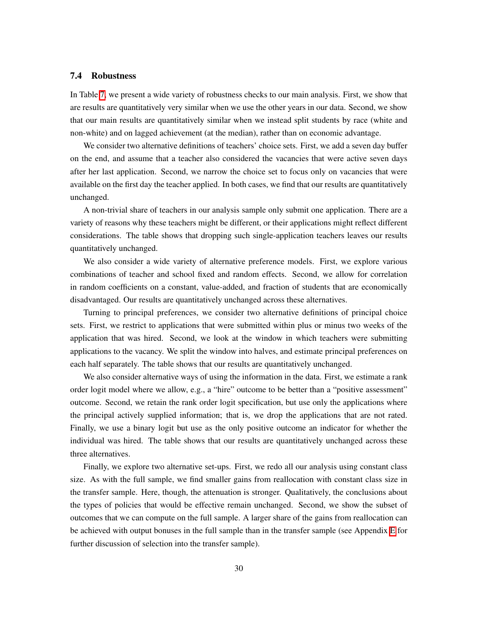#### <span id="page-31-0"></span>7.4 Robustness

In Table  $\overline{\mathcal{U}}$ , we present a wide variety of robustness checks to our main analysis. First, we show that are results are quantitatively very similar when we use the other years in our data. Second, we show that our main results are quantitatively similar when we instead split students by race (white and non-white) and on lagged achievement (at the median), rather than on economic advantage.

We consider two alternative definitions of teachers' choice sets. First, we add a seven day buffer on the end, and assume that a teacher also considered the vacancies that were active seven days after her last application. Second, we narrow the choice set to focus only on vacancies that were available on the first day the teacher applied. In both cases, we find that our results are quantitatively unchanged.

A non-trivial share of teachers in our analysis sample only submit one application. There are a variety of reasons why these teachers might be different, or their applications might reflect different considerations. The table shows that dropping such single-application teachers leaves our results quantitatively unchanged.

We also consider a wide variety of alternative preference models. First, we explore various combinations of teacher and school fixed and random effects. Second, we allow for correlation in random coefficients on a constant, value-added, and fraction of students that are economically disadvantaged. Our results are quantitatively unchanged across these alternatives.

Turning to principal preferences, we consider two alternative definitions of principal choice sets. First, we restrict to applications that were submitted within plus or minus two weeks of the application that was hired. Second, we look at the window in which teachers were submitting applications to the vacancy. We split the window into halves, and estimate principal preferences on each half separately. The table shows that our results are quantitatively unchanged.

We also consider alternative ways of using the information in the data. First, we estimate a rank order logit model where we allow, e.g., a "hire" outcome to be better than a "positive assessment" outcome. Second, we retain the rank order logit specification, but use only the applications where the principal actively supplied information; that is, we drop the applications that are not rated. Finally, we use a binary logit but use as the only positive outcome an indicator for whether the individual was hired. The table shows that our results are quantitatively unchanged across these three alternatives.

Finally, we explore two alternative set-ups. First, we redo all our analysis using constant class size. As with the full sample, we find smaller gains from reallocation with constant class size in the transfer sample. Here, though, the attenuation is stronger. Qualitatively, the conclusions about the types of policies that would be effective remain unchanged. Second, we show the subset of outcomes that we can compute on the full sample. A larger share of the gains from reallocation can be achieved with output bonuses in the full sample than in the transfer sample (see Appendix  $\mathbb{E}$  for further discussion of selection into the transfer sample).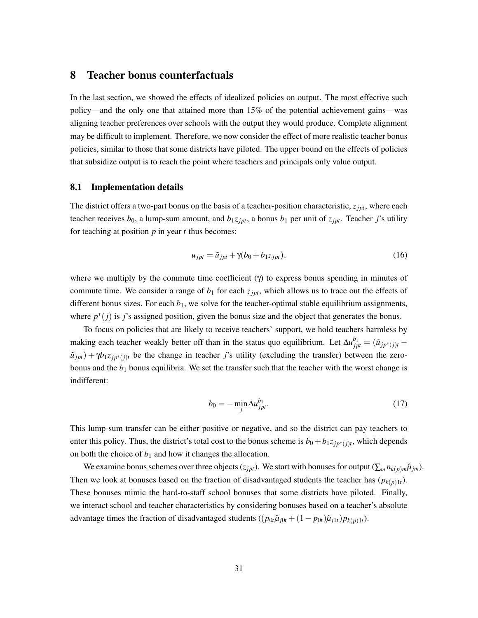## <span id="page-32-0"></span>8 Teacher bonus counterfactuals

In the last section, we showed the effects of idealized policies on output. The most effective such policy—and the only one that attained more than 15% of the potential achievement gains—was aligning teacher preferences over schools with the output they would produce. Complete alignment may be difficult to implement. Therefore, we now consider the effect of more realistic teacher bonus policies, similar to those that some districts have piloted. The upper bound on the effects of policies that subsidize output is to reach the point where teachers and principals only value output.

#### 8.1 Implementation details

The district offers a two-part bonus on the basis of a teacher-position characteristic,  $z_{\textit{ipt}}$ , where each teacher receives  $b_0$ , a lump-sum amount, and  $b_1 z_{jpt}$ , a bonus  $b_1$  per unit of  $z_{jpt}$ . Teacher *j*'s utility for teaching at position *p* in year *t* thus becomes:

$$
u_{jpt} = \tilde{u}_{jpt} + \gamma(b_0 + b_1 z_{jpt}),\tag{16}
$$

where we multiply by the commute time coefficient  $(\gamma)$  to express bonus spending in minutes of commute time. We consider a range of  $b_1$  for each  $z_{\text{ipt}}$ , which allows us to trace out the effects of different bonus sizes. For each  $b_1$ , we solve for the teacher-optimal stable equilibrium assignments, where  $p^*(j)$  is *j*'s assigned position, given the bonus size and the object that generates the bonus.

To focus on policies that are likely to receive teachers' support, we hold teachers harmless by making each teacher weakly better off than in the status quo equilibrium. Let  $\Delta u_{jpt}^{b_1} = (\tilde{u}_{jp^*(j)t} - \tilde{u}_{jpt} + \tilde{u}_{jpt})$  $\tilde{u}_{jpt}$  +  $\gamma b_1 z_{jp^*(j)t}$  be the change in teacher *j*'s utility (excluding the transfer) between the zerobonus and the *b*<sup>1</sup> bonus equilibria. We set the transfer such that the teacher with the worst change is indifferent:

$$
b_0 = -\min_j \Delta u_{jpt}^{b_1}.\tag{17}
$$

This lump-sum transfer can be either positive or negative, and so the district can pay teachers to enter this policy. Thus, the district's total cost to the bonus scheme is  $b_0 + b_1 z_{j p^*(j)t}$ , which depends on both the choice of  $b_1$  and how it changes the allocation.

We examine bonus schemes over three objects ( $z_{jpt}$ ). We start with bonuses for output ( $\sum_m n_{k(p)m}\hat{\mu}_{jm}$ ). Then we look at bonuses based on the fraction of disadvantaged students the teacher has  $(p_{k(p)1t})$ . These bonuses mimic the hard-to-staff school bonuses that some districts have piloted. Finally, we interact school and teacher characteristics by considering bonuses based on a teacher's absolute advantage times the fraction of disadvantaged students  $((p_{0t}\hat{\mu}_{j0t} + (1 - p_{0t})\hat{\mu}_{i1t})p_{k(p)1t}).$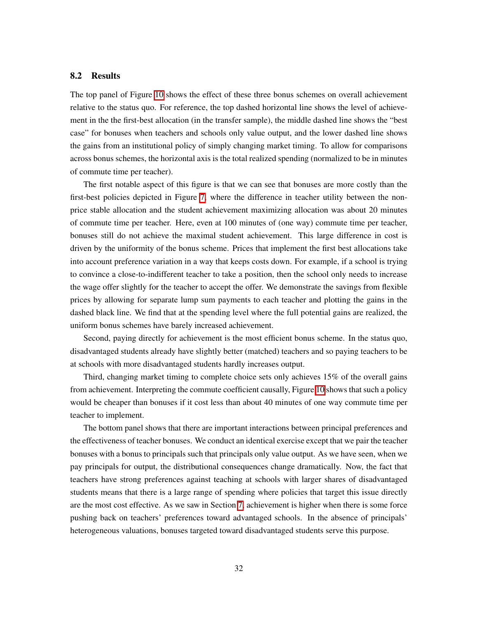#### 8.2 Results

The top panel of Figure  $\overline{10}$  shows the effect of these three bonus schemes on overall achievement relative to the status quo. For reference, the top dashed horizontal line shows the level of achievement in the the first-best allocation (in the transfer sample), the middle dashed line shows the "best case" for bonuses when teachers and schools only value output, and the lower dashed line shows the gains from an institutional policy of simply changing market timing. To allow for comparisons across bonus schemes, the horizontal axis is the total realized spending (normalized to be in minutes of commute time per teacher).

The first notable aspect of this figure is that we can see that bonuses are more costly than the first-best policies depicted in Figure  $\sqrt{7}$ , where the difference in teacher utility between the nonprice stable allocation and the student achievement maximizing allocation was about 20 minutes of commute time per teacher. Here, even at 100 minutes of (one way) commute time per teacher, bonuses still do not achieve the maximal student achievement. This large difference in cost is driven by the uniformity of the bonus scheme. Prices that implement the first best allocations take into account preference variation in a way that keeps costs down. For example, if a school is trying to convince a close-to-indifferent teacher to take a position, then the school only needs to increase the wage offer slightly for the teacher to accept the offer. We demonstrate the savings from flexible prices by allowing for separate lump sum payments to each teacher and plotting the gains in the dashed black line. We find that at the spending level where the full potential gains are realized, the uniform bonus schemes have barely increased achievement.

Second, paying directly for achievement is the most efficient bonus scheme. In the status quo, disadvantaged students already have slightly better (matched) teachers and so paying teachers to be at schools with more disadvantaged students hardly increases output.

Third, changing market timing to complete choice sets only achieves 15% of the overall gains from achievement. Interpreting the commute coefficient causally, Figure  $\overline{10}$  shows that such a policy would be cheaper than bonuses if it cost less than about 40 minutes of one way commute time per teacher to implement.

The bottom panel shows that there are important interactions between principal preferences and the effectiveness of teacher bonuses. We conduct an identical exercise except that we pair the teacher bonuses with a bonus to principals such that principals only value output. As we have seen, when we pay principals for output, the distributional consequences change dramatically. Now, the fact that teachers have strong preferences against teaching at schools with larger shares of disadvantaged students means that there is a large range of spending where policies that target this issue directly are the most cost effective. As we saw in Section  $\overline{7}$ , achievement is higher when there is some force pushing back on teachers' preferences toward advantaged schools. In the absence of principals' heterogeneous valuations, bonuses targeted toward disadvantaged students serve this purpose.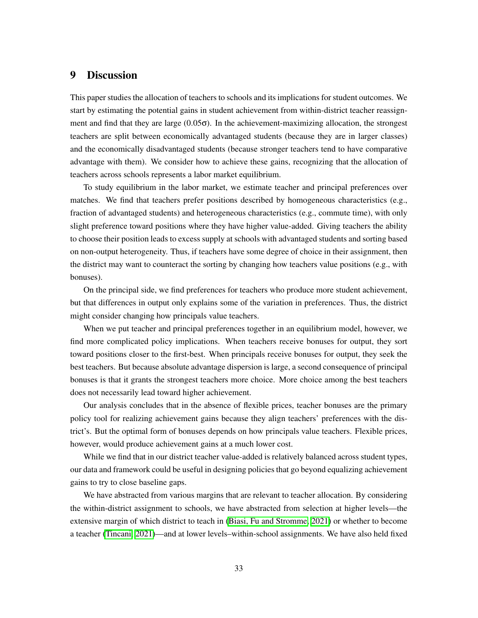# 9 Discussion

This paper studies the allocation of teachers to schools and its implications for student outcomes. We start by estimating the potential gains in student achievement from within-district teacher reassignment and find that they are large  $(0.05\sigma)$ . In the achievement-maximizing allocation, the strongest teachers are split between economically advantaged students (because they are in larger classes) and the economically disadvantaged students (because stronger teachers tend to have comparative advantage with them). We consider how to achieve these gains, recognizing that the allocation of teachers across schools represents a labor market equilibrium.

To study equilibrium in the labor market, we estimate teacher and principal preferences over matches. We find that teachers prefer positions described by homogeneous characteristics (e.g., fraction of advantaged students) and heterogeneous characteristics (e.g., commute time), with only slight preference toward positions where they have higher value-added. Giving teachers the ability to choose their position leads to excess supply at schools with advantaged students and sorting based on non-output heterogeneity. Thus, if teachers have some degree of choice in their assignment, then the district may want to counteract the sorting by changing how teachers value positions (e.g., with bonuses).

On the principal side, we find preferences for teachers who produce more student achievement, but that differences in output only explains some of the variation in preferences. Thus, the district might consider changing how principals value teachers.

When we put teacher and principal preferences together in an equilibrium model, however, we find more complicated policy implications. When teachers receive bonuses for output, they sort toward positions closer to the first-best. When principals receive bonuses for output, they seek the best teachers. But because absolute advantage dispersion is large, a second consequence of principal bonuses is that it grants the strongest teachers more choice. More choice among the best teachers does not necessarily lead toward higher achievement.

Our analysis concludes that in the absence of flexible prices, teacher bonuses are the primary policy tool for realizing achievement gains because they align teachers' preferences with the district's. But the optimal form of bonuses depends on how principals value teachers. Flexible prices, however, would produce achievement gains at a much lower cost.

While we find that in our district teacher value-added is relatively balanced across student types, our data and framework could be useful in designing policies that go beyond equalizing achievement gains to try to close baseline gaps.

We have abstracted from various margins that are relevant to teacher allocation. By considering the within-district assignment to schools, we have abstracted from selection at higher levels—the extensive margin of which district to teach in [\(Biasi, Fu and Stromme, 2021\)](#page-37-5) or whether to become a teacher [\(Tincani, 2021\)](#page-41-6)—and at lower levels–within-school assignments. We have also held fixed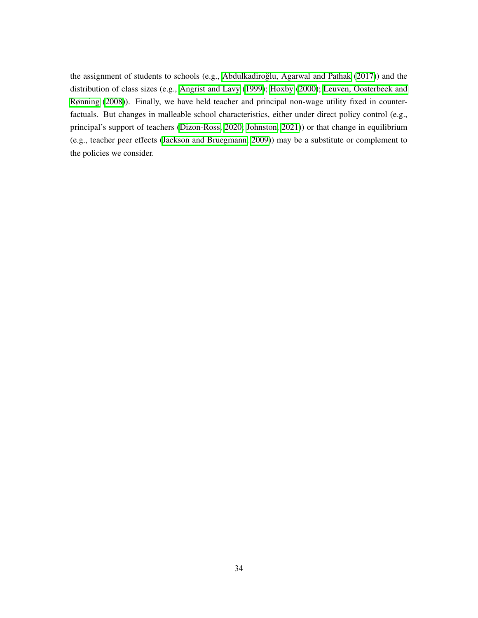the assignment of students to schools (e.g., Abdulkadiroğlu, Agarwal and Pathak [\(2017\)](#page-36-12)) and the distribution of class sizes (e.g., [Angrist and Lavy](#page-36-13) [\(1999\)](#page-36-13); [Hoxby](#page-39-13) [\(2000\)](#page-39-13); [Leuven, Oosterbeek and](#page-40-14) [Rønning](#page-40-14) [\(2008\)](#page-40-14)). Finally, we have held teacher and principal non-wage utility fixed in counterfactuals. But changes in malleable school characteristics, either under direct policy control (e.g., principal's support of teachers [\(Dizon-Ross, 2020;](#page-38-15) [Johnston, 2021\)](#page-39-5)) or that change in equilibrium (e.g., teacher peer effects [\(Jackson and Bruegmann, 2009\)](#page-39-14)) may be a substitute or complement to the policies we consider.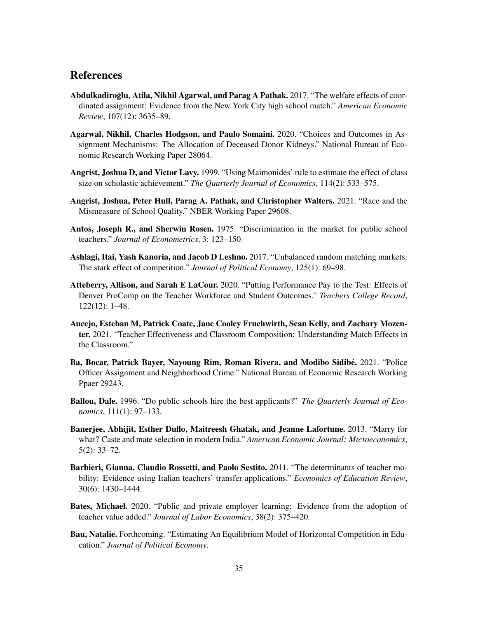# References

- <span id="page-36-12"></span>Abdulkadiroğlu, Atila, Nikhil Agarwal, and Parag A Pathak. 2017. "The welfare effects of coordinated assignment: Evidence from the New York City high school match." *American Economic Review*, 107(12): 3635–89.
- <span id="page-36-7"></span>Agarwal, Nikhil, Charles Hodgson, and Paulo Somaini. 2020. "Choices and Outcomes in Assignment Mechanisms: The Allocation of Deceased Donor Kidneys." National Bureau of Economic Research Working Paper 28064.
- <span id="page-36-13"></span>Angrist, Joshua D, and Victor Lavy. 1999. "Using Maimonides' rule to estimate the effect of class size on scholastic achievement." *The Quarterly Journal of Economics*, 114(2): 533–575.
- <span id="page-36-5"></span>Angrist, Joshua, Peter Hull, Parag A. Pathak, and Christopher Walters. 2021. "Race and the Mismeasure of School Quality." NBER Working Paper 29608.
- <span id="page-36-0"></span>Antos, Joseph R., and Sherwin Rosen. 1975. "Discrimination in the market for public school teachers." *Journal of Econometrics*, 3: 123–150.
- <span id="page-36-10"></span>Ashlagi, Itai, Yash Kanoria, and Jacob D Leshno. 2017. "Unbalanced random matching markets: The stark effect of competition." *Journal of Political Economy*, 125(1): 69–98.
- <span id="page-36-3"></span>Atteberry, Allison, and Sarah E LaCour. 2020. "Putting Performance Pay to the Test: Effects of Denver ProComp on the Teacher Workforce and Student Outcomes." *Teachers College Record*, 122(12): 1–48.
- <span id="page-36-9"></span>Aucejo, Esteban M, Patrick Coate, Jane Cooley Fruehwirth, Sean Kelly, and Zachary Mozenter. 2021. "Teacher Effectiveness and Classroom Composition: Understanding Match Effects in the Classroom."
- <span id="page-36-8"></span>Ba, Bocar, Patrick Bayer, Nayoung Rim, Roman Rivera, and Modibo Sidibé. 2021. "Police Officer Assignment and Neighborhood Crime." National Bureau of Economic Research Working Ppaer 29243.
- <span id="page-36-1"></span>Ballou, Dale. 1996. "Do public schools hire the best applicants?" *The Quarterly Journal of Economics*, 111(1): 97–133.
- <span id="page-36-2"></span>Banerjee, Abhijit, Esther Duflo, Maitreesh Ghatak, and Jeanne Lafortune. 2013. "Marry for what? Caste and mate selection in modern India." *American Economic Journal: Microeconomics*, 5(2): 33–72.
- <span id="page-36-6"></span>Barbieri, Gianna, Claudio Rossetti, and Paolo Sestito. 2011. "The determinants of teacher mobility: Evidence using Italian teachers' transfer applications." *Economics of Education Review*, 30(6): 1430–1444.
- <span id="page-36-11"></span>Bates, Michael. 2020. "Public and private employer learning: Evidence from the adoption of teacher value added." *Journal of Labor Economics*, 38(2): 375–420.
- <span id="page-36-4"></span>Bau, Natalie. Forthcoming. "Estimating An Equilibrium Model of Horizontal Competition in Education." *Journal of Political Economy*.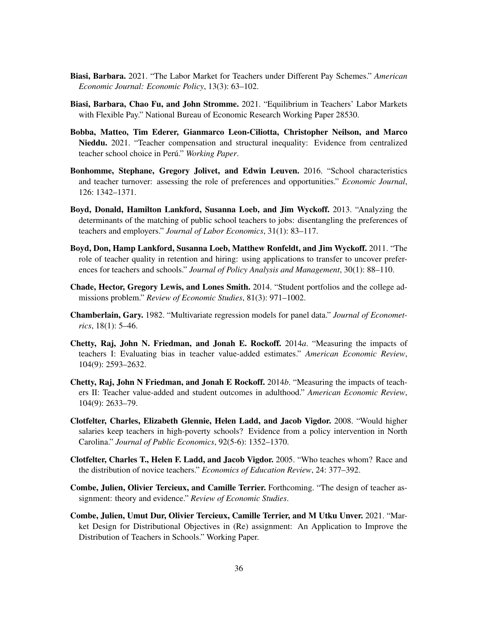- <span id="page-37-1"></span>Biasi, Barbara. 2021. "The Labor Market for Teachers under Different Pay Schemes." *American Economic Journal: Economic Policy*, 13(3): 63–102.
- <span id="page-37-5"></span>Biasi, Barbara, Chao Fu, and John Stromme. 2021. "Equilibrium in Teachers' Labor Markets with Flexible Pay." National Bureau of Economic Research Working Paper 28530.
- <span id="page-37-10"></span>Bobba, Matteo, Tim Ederer, Gianmarco Leon-Ciliotta, Christopher Neilson, and Marco Nieddu. 2021. "Teacher compensation and structural inequality: Evidence from centralized teacher school choice in Perú." Working Paper.
- <span id="page-37-7"></span>Bonhomme, Stephane, Gregory Jolivet, and Edwin Leuven. 2016. "School characteristics and teacher turnover: assessing the role of preferences and opportunities." *Economic Journal*, 126: 1342–1371.
- <span id="page-37-2"></span>Boyd, Donald, Hamilton Lankford, Susanna Loeb, and Jim Wyckoff. 2013. "Analyzing the determinants of the matching of public school teachers to jobs: disentangling the preferences of teachers and employers." *Journal of Labor Economics*, 31(1): 83–117.
- <span id="page-37-8"></span>Boyd, Don, Hamp Lankford, Susanna Loeb, Matthew Ronfeldt, and Jim Wyckoff. 2011. "The role of teacher quality in retention and hiring: using applications to transfer to uncover preferences for teachers and schools." *Journal of Policy Analysis and Management*, 30(1): 88–110.
- <span id="page-37-12"></span>Chade, Hector, Gregory Lewis, and Lones Smith. 2014. "Student portfolios and the college admissions problem." *Review of Economic Studies*, 81(3): 971–1002.
- <span id="page-37-13"></span>Chamberlain, Gary. 1982. "Multivariate regression models for panel data." *Journal of Econometrics*, 18(1): 5–46.
- <span id="page-37-3"></span>Chetty, Raj, John N. Friedman, and Jonah E. Rockoff. 2014*a*. "Measuring the impacts of teachers I: Evaluating bias in teacher value-added estimates." *American Economic Review*, 104(9): 2593–2632.
- <span id="page-37-0"></span>Chetty, Raj, John N Friedman, and Jonah E Rockoff. 2014*b*. "Measuring the impacts of teachers II: Teacher value-added and student outcomes in adulthood." *American Economic Review*, 104(9): 2633–79.
- <span id="page-37-4"></span>Clotfelter, Charles, Elizabeth Glennie, Helen Ladd, and Jacob Vigdor. 2008. "Would higher salaries keep teachers in high-poverty schools? Evidence from a policy intervention in North Carolina." *Journal of Public Economics*, 92(5-6): 1352–1370.
- <span id="page-37-6"></span>Clotfelter, Charles T., Helen F. Ladd, and Jacob Vigdor. 2005. "Who teaches whom? Race and the distribution of novice teachers." *Economics of Education Review*, 24: 377–392.
- <span id="page-37-9"></span>Combe, Julien, Olivier Tercieux, and Camille Terrier. Forthcoming. "The design of teacher assignment: theory and evidence." *Review of Economic Studies*.
- <span id="page-37-11"></span>Combe, Julien, Umut Dur, Olivier Tercieux, Camille Terrier, and M Utku Unver. 2021. "Market Design for Distributional Objectives in (Re) assignment: An Application to Improve the Distribution of Teachers in Schools." Working Paper.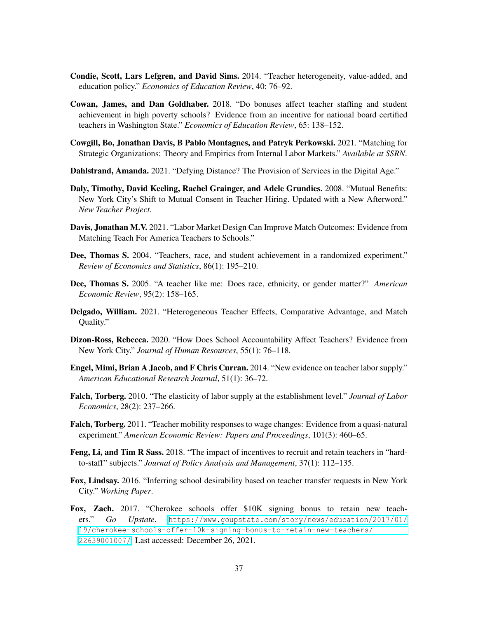- <span id="page-38-7"></span>Condie, Scott, Lars Lefgren, and David Sims. 2014. "Teacher heterogeneity, value-added, and education policy." *Economics of Education Review*, 40: 76–92.
- <span id="page-38-5"></span>Cowan, James, and Dan Goldhaber. 2018. "Do bonuses affect teacher staffing and student achievement in high poverty schools? Evidence from an incentive for national board certified teachers in Washington State." *Economics of Education Review*, 65: 138–152.
- <span id="page-38-11"></span>Cowgill, Bo, Jonathan Davis, B Pablo Montagnes, and Patryk Perkowski. 2021. "Matching for Strategic Organizations: Theory and Empirics from Internal Labor Markets." *Available at SSRN*.
- <span id="page-38-12"></span>Dahlstrand, Amanda. 2021. "Defying Distance? The Provision of Services in the Digital Age."
- <span id="page-38-1"></span>Daly, Timothy, David Keeling, Rachel Grainger, and Adele Grundies. 2008. "Mutual Benefits: New York City's Shift to Mutual Consent in Teacher Hiring. Updated with a New Afterword." *New Teacher Project*.
- <span id="page-38-0"></span>Davis, Jonathan M.V. 2021. "Labor Market Design Can Improve Match Outcomes: Evidence from Matching Teach For America Teachers to Schools."
- <span id="page-38-13"></span>Dee, Thomas S. 2004. "Teachers, race, and student achievement in a randomized experiment." *Review of Economics and Statistics*, 86(1): 195–210.
- <span id="page-38-14"></span>Dee, Thomas S. 2005. "A teacher like me: Does race, ethnicity, or gender matter?" *American Economic Review*, 95(2): 158–165.
- <span id="page-38-8"></span>Delgado, William. 2021. "Heterogeneous Teacher Effects, Comparative Advantage, and Match Quality."
- <span id="page-38-15"></span>Dizon-Ross, Rebecca. 2020. "How Does School Accountability Affect Teachers? Evidence from New York City." *Journal of Human Resources*, 55(1): 76–118.
- <span id="page-38-9"></span>Engel, Mimi, Brian A Jacob, and F Chris Curran. 2014. "New evidence on teacher labor supply." *American Educational Research Journal*, 51(1): 36–72.
- <span id="page-38-3"></span>Falch, Torberg. 2010. "The elasticity of labor supply at the establishment level." *Journal of Labor Economics*, 28(2): 237–266.
- <span id="page-38-4"></span>Falch, Torberg. 2011. "Teacher mobility responses to wage changes: Evidence from a quasi-natural experiment." *American Economic Review: Papers and Proceedings*, 101(3): 460–65.
- <span id="page-38-6"></span>Feng, Li, and Tim R Sass. 2018. "The impact of incentives to recruit and retain teachers in "hardto-staff" subjects." *Journal of Policy Analysis and Management*, 37(1): 112–135.
- <span id="page-38-10"></span>Fox, Lindsay. 2016. "Inferring school desirability based on teacher transfer requests in New York City." *Working Paper*.
- <span id="page-38-2"></span>Fox, Zach. 2017. "Cherokee schools offer \$10K signing bonus to retain new teachers." *Go Upstate*. [https://www.goupstate.com/story/news/education/2017/01/](https://www.goupstate.com/story/news/education/2017/01/19/cherokee-schools-offer-10k-signing-bonus-to-retain-new-teachers/22639001007/) [19/cherokee-schools-offer-10k-signing-bonus-to-retain-new-teachers/](https://www.goupstate.com/story/news/education/2017/01/19/cherokee-schools-offer-10k-signing-bonus-to-retain-new-teachers/22639001007/) [22639001007/](https://www.goupstate.com/story/news/education/2017/01/19/cherokee-schools-offer-10k-signing-bonus-to-retain-new-teachers/22639001007/). Last accessed: December 26, 2021.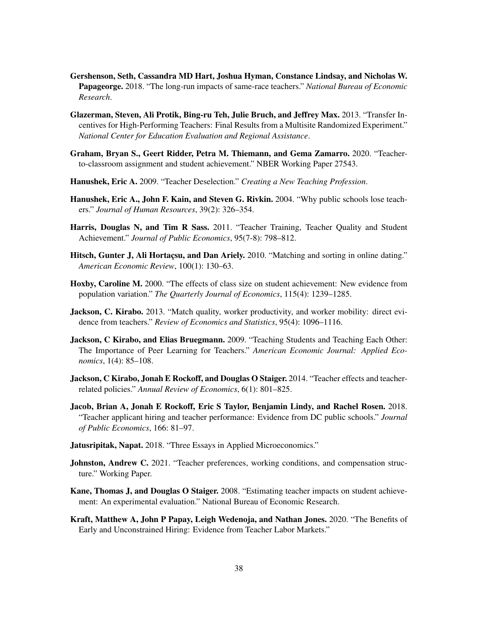- <span id="page-39-12"></span>Gershenson, Seth, Cassandra MD Hart, Joshua Hyman, Constance Lindsay, and Nicholas W. Papageorge. 2018. "The long-run impacts of same-race teachers." *National Bureau of Economic Research*.
- <span id="page-39-4"></span>Glazerman, Steven, Ali Protik, Bing-ru Teh, Julie Bruch, and Jeffrey Max. 2013. "Transfer Incentives for High-Performing Teachers: Final Results from a Multisite Randomized Experiment." *National Center for Education Evaluation and Regional Assistance*.
- <span id="page-39-9"></span>Graham, Bryan S., Geert Ridder, Petra M. Thiemann, and Gema Zamarro. 2020. "Teacherto-classroom assignment and student achievement." NBER Working Paper 27543.
- <span id="page-39-11"></span>Hanushek, Eric A. 2009. "Teacher Deselection." *Creating a New Teaching Profession*.
- <span id="page-39-2"></span>Hanushek, Eric A., John F. Kain, and Steven G. Rivkin. 2004. "Why public schools lose teachers." *Journal of Human Resources*, 39(2): 326–354.
- Harris, Douglas N, and Tim R Sass. 2011. "Teacher Training, Teacher Quality and Student Achievement." *Journal of Public Economics*, 95(7-8): 798–812.
- <span id="page-39-1"></span>Hitsch, Gunter J, Ali Hortacsu, and Dan Ariely. 2010. "Matching and sorting in online dating." *American Economic Review*, 100(1): 130–63.
- <span id="page-39-13"></span>Hoxby, Caroline M. 2000. "The effects of class size on student achievement: New evidence from population variation." *The Quarterly Journal of Economics*, 115(4): 1239–1285.
- <span id="page-39-8"></span>**Jackson, C. Kirabo.** 2013. "Match quality, worker productivity, and worker mobility: direct evidence from teachers." *Review of Economics and Statistics*, 95(4): 1096–1116.
- <span id="page-39-14"></span>Jackson, C Kirabo, and Elias Bruegmann. 2009. "Teaching Students and Teaching Each Other: The Importance of Peer Learning for Teachers." *American Economic Journal: Applied Economics*, 1(4): 85–108.
- <span id="page-39-0"></span>Jackson, C Kirabo, Jonah E Rockoff, and Douglas O Staiger. 2014. "Teacher effects and teacherrelated policies." *Annual Review of Economics*, 6(1): 801–825.
- <span id="page-39-6"></span>Jacob, Brian A, Jonah E Rockoff, Eric S Taylor, Benjamin Lindy, and Rachel Rosen. 2018. "Teacher applicant hiring and teacher performance: Evidence from DC public schools." *Journal of Public Economics*, 166: 81–97.
- <span id="page-39-7"></span>Jatusripitak, Napat. 2018. "Three Essays in Applied Microeconomics."
- <span id="page-39-5"></span>Johnston, Andrew C. 2021. "Teacher preferences, working conditions, and compensation structure." Working Paper.
- <span id="page-39-10"></span>Kane, Thomas J, and Douglas O Staiger. 2008. "Estimating teacher impacts on student achievement: An experimental evaluation." National Bureau of Economic Research.
- <span id="page-39-3"></span>Kraft, Matthew A, John P Papay, Leigh Wedenoja, and Nathan Jones. 2020. "The Benefits of Early and Unconstrained Hiring: Evidence from Teacher Labor Markets."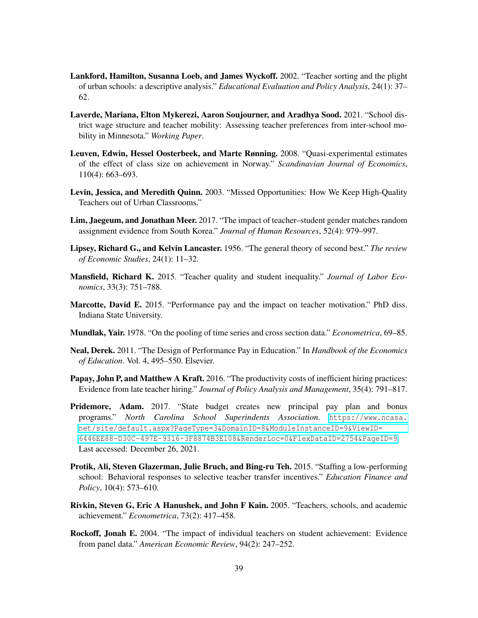- <span id="page-40-6"></span>Lankford, Hamilton, Susanna Loeb, and James Wyckoff. 2002. "Teacher sorting and the plight of urban schools: a descriptive analysis." *Educational Evaluation and Policy Analysis*, 24(1): 37– 62.
- <span id="page-40-9"></span>Laverde, Mariana, Elton Mykerezi, Aaron Soujourner, and Aradhya Sood. 2021. "School district wage structure and teacher mobility: Assessing teacher preferences from inter-school mobility in Minnesota." *Working Paper*.
- <span id="page-40-14"></span>Leuven, Edwin, Hessel Oosterbeek, and Marte Rønning. 2008. "Quasi-experimental estimates of the effect of class size on achievement in Norway." *Scandinavian Journal of Economics*, 110(4): 663–693.
- <span id="page-40-1"></span>Levin, Jessica, and Meredith Quinn. 2003. "Missed Opportunities: How We Keep High-Quality Teachers out of Urban Classrooms."
- <span id="page-40-11"></span>Lim, Jaegeum, and Jonathan Meer. 2017. "The impact of teacher–student gender matches random assignment evidence from South Korea." *Journal of Human Resources*, 52(4): 979–997.
- <span id="page-40-8"></span>Lipsey, Richard G., and Kelvin Lancaster. 1956. "The general theory of second best." *The review of Economic Studies*, 24(1): 11–32.
- <span id="page-40-7"></span>Mansfield, Richard K. 2015. "Teacher quality and student inequality." *Journal of Labor Economics*, 33(3): 751–788.
- <span id="page-40-2"></span>Marcotte, David E. 2015. "Performance pay and the impact on teacher motivation." PhD diss. Indiana State University.
- <span id="page-40-13"></span>Mundlak, Yair. 1978. "On the pooling of time series and cross section data." *Econometrica*, 69–85.
- <span id="page-40-5"></span>Neal, Derek. 2011. "The Design of Performance Pay in Education." In *Handbook of the Economics of Education*. Vol. 4, 495–550. Elsevier.
- <span id="page-40-12"></span>Papay, John P, and Matthew A Kraft. 2016. "The productivity costs of inefficient hiring practices: Evidence from late teacher hiring." *Journal of Policy Analysis and Management*, 35(4): 791–817.
- <span id="page-40-3"></span>**Pridemore, Adam.** 2017. "State budget creates new principal pay plan and bonus programs." *North Carolina School Superindents Association*. [https://www.ncasa.](https://www.ncasa.net/site/default.aspx?PageType=3&DomainID=8&ModuleInstanceID=9&ViewID=6446EE88-D30C-497E-9316-3F8874B3E108&RenderLoc=0&FlexDataID=2754&PageID=9) [net/site/default.aspx?PageType=3&DomainID=8&ModuleInstanceID=9&ViewID=](https://www.ncasa.net/site/default.aspx?PageType=3&DomainID=8&ModuleInstanceID=9&ViewID=6446EE88-D30C-497E-9316-3F8874B3E108&RenderLoc=0&FlexDataID=2754&PageID=9) [6446EE88-D30C-497E-9316-3F8874B3E108&RenderLoc=0&FlexDataID=2754&PageID=9](https://www.ncasa.net/site/default.aspx?PageType=3&DomainID=8&ModuleInstanceID=9&ViewID=6446EE88-D30C-497E-9316-3F8874B3E108&RenderLoc=0&FlexDataID=2754&PageID=9). Last accessed: December 26, 2021.
- <span id="page-40-4"></span>Protik, Ali, Steven Glazerman, Julie Bruch, and Bing-ru Teh. 2015. "Staffing a low-performing school: Behavioral responses to selective teacher transfer incentives." *Education Finance and Policy*, 10(4): 573–610.
- <span id="page-40-10"></span>Rivkin, Steven G, Eric A Hanushek, and John F Kain. 2005. "Teachers, schools, and academic achievement." *Econometrica*, 73(2): 417–458.
- <span id="page-40-0"></span>Rockoff, Jonah E. 2004. "The impact of individual teachers on student achievement: Evidence from panel data." *American Economic Review*, 94(2): 247–252.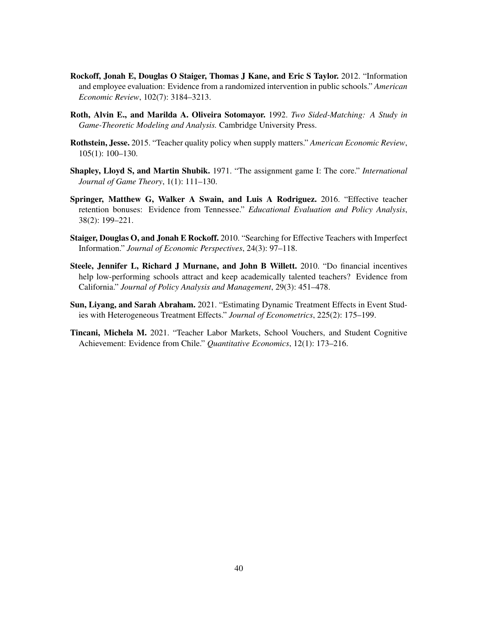- <span id="page-41-2"></span>Rockoff, Jonah E, Douglas O Staiger, Thomas J Kane, and Eric S Taylor. 2012. "Information and employee evaluation: Evidence from a randomized intervention in public schools." *American Economic Review*, 102(7): 3184–3213.
- <span id="page-41-1"></span>Roth, Alvin E., and Marilda A. Oliveira Sotomayor. 1992. *Two Sided-Matching: A Study in Game-Theoretic Modeling and Analysis.* Cambridge University Press.
- <span id="page-41-0"></span>Rothstein, Jesse. 2015. "Teacher quality policy when supply matters." *American Economic Review*, 105(1): 100–130.
- <span id="page-41-7"></span>Shapley, Lloyd S, and Martin Shubik. 1971. "The assignment game I: The core." *International Journal of Game Theory*, 1(1): 111–130.
- <span id="page-41-4"></span>Springer, Matthew G, Walker A Swain, and Luis A Rodriguez. 2016. "Effective teacher retention bonuses: Evidence from Tennessee." *Educational Evaluation and Policy Analysis*, 38(2): 199–221.
- <span id="page-41-5"></span>Staiger, Douglas O, and Jonah E Rockoff. 2010. "Searching for Effective Teachers with Imperfect Information." *Journal of Economic Perspectives*, 24(3): 97–118.
- <span id="page-41-3"></span>Steele, Jennifer L, Richard J Murnane, and John B Willett. 2010. "Do financial incentives help low-performing schools attract and keep academically talented teachers? Evidence from California." *Journal of Policy Analysis and Management*, 29(3): 451–478.
- Sun, Liyang, and Sarah Abraham. 2021. "Estimating Dynamic Treatment Effects in Event Studies with Heterogeneous Treatment Effects." *Journal of Econometrics*, 225(2): 175–199.
- <span id="page-41-6"></span>Tincani, Michela M. 2021. "Teacher Labor Markets, School Vouchers, and Student Cognitive Achievement: Evidence from Chile." *Quantitative Economics*, 12(1): 173–216.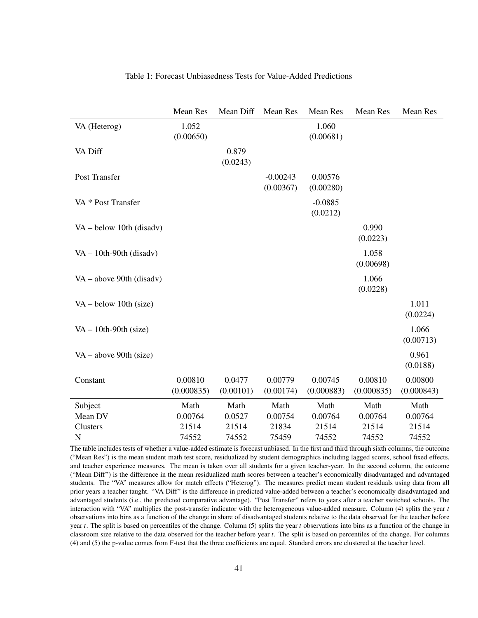<span id="page-42-0"></span>

|                            | Mean Res   | Mean Diff | <b>Mean Res</b> | Mean Res   | <b>Mean Res</b>   | Mean Res   |
|----------------------------|------------|-----------|-----------------|------------|-------------------|------------|
| VA (Heterog)               | 1.052      |           |                 | 1.060      |                   |            |
|                            | (0.00650)  |           |                 | (0.00681)  |                   |            |
| VA Diff                    |            | 0.879     |                 |            |                   |            |
|                            |            | (0.0243)  |                 |            |                   |            |
| Post Transfer              |            |           | $-0.00243$      | 0.00576    |                   |            |
|                            |            |           | (0.00367)       | (0.00280)  |                   |            |
| VA * Post Transfer         |            |           |                 | $-0.0885$  |                   |            |
|                            |            |           |                 | (0.0212)   |                   |            |
| $VA - below 10th$ (disadv) |            |           |                 |            | 0.990             |            |
|                            |            |           |                 |            | (0.0223)          |            |
|                            |            |           |                 |            | 1.058             |            |
| $VA - 10th-90th$ (disadv)  |            |           |                 |            | (0.00698)         |            |
|                            |            |           |                 |            |                   |            |
| $VA - above 90th$ (disadv) |            |           |                 |            | 1.066<br>(0.0228) |            |
|                            |            |           |                 |            |                   |            |
| $VA - below 10th (size)$   |            |           |                 |            |                   | 1.011      |
|                            |            |           |                 |            |                   | (0.0224)   |
| $VA - 10th-90th$ (size)    |            |           |                 |            |                   | 1.066      |
|                            |            |           |                 |            |                   | (0.00713)  |
| $VA - above 90th (size)$   |            |           |                 |            |                   | 0.961      |
|                            |            |           |                 |            |                   | (0.0188)   |
| Constant                   | 0.00810    | 0.0477    | 0.00779         | 0.00745    | 0.00810           | 0.00800    |
|                            | (0.000835) | (0.00101) | (0.00174)       | (0.000883) | (0.000835)        | (0.000843) |
| Subject                    | Math       | Math      | Math            | Math       | Math              | Math       |
| Mean DV                    | 0.00764    | 0.0527    | 0.00754         | 0.00764    | 0.00764           | 0.00764    |
| Clusters                   | 21514      | 21514     | 21834           | 21514      | 21514             | 21514      |
| $\mathbf N$                | 74552      | 74552     | 75459           | 74552      | 74552             | 74552      |

## Table 1: Forecast Unbiasedness Tests for Value-Added Predictions

The table includes tests of whether a value-added estimate is forecast unbiased. In the first and third through sixth columns, the outcome ("Mean Res") is the mean student math test score, residualized by student demographics including lagged scores, school fixed effects, and teacher experience measures. The mean is taken over all students for a given teacher-year. In the second column, the outcome ("Mean Diff") is the difference in the mean residualized math scores between a teacher's economically disadvantaged and advantaged students. The "VA" measures allow for match effects ("Heterog"). The measures predict mean student residuals using data from all prior years a teacher taught. "VA Diff" is the difference in predicted value-added between a teacher's economically disadvantaged and advantaged students (i.e., the predicted comparative advantage). "Post Transfer" refers to years after a teacher switched schools. The interaction with "VA" multiplies the post-transfer indicator with the heterogeneous value-added measure. Column (4) splits the year *t* observations into bins as a function of the change in share of disadvantaged students relative to the data observed for the teacher before year *t*. The split is based on percentiles of the change. Column (5) splits the year *t* observations into bins as a function of the change in classroom size relative to the data observed for the teacher before year *t*. The split is based on percentiles of the change. For columns (4) and (5) the p-value comes from F-test that the three coefficients are equal. Standard errors are clustered at the teacher level.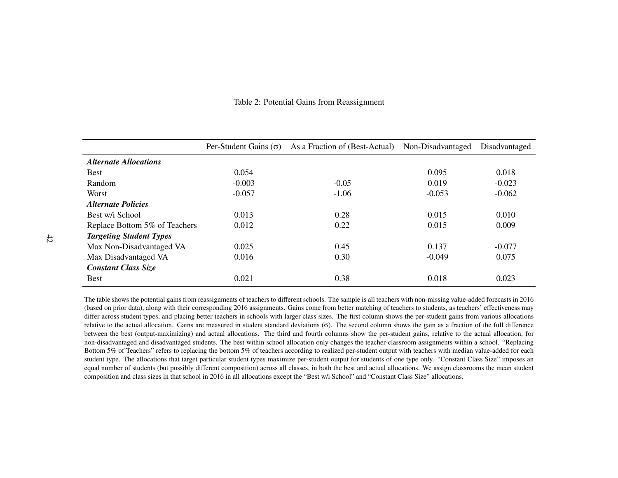| Table 2: Potential Gains from Reassignment |  |  |
|--------------------------------------------|--|--|
|--------------------------------------------|--|--|

|                                  | Per-Student Gains $(\sigma)$ | As a Fraction of (Best-Actual) Non-Disadvantaged |          | Disadvantaged |
|----------------------------------|------------------------------|--------------------------------------------------|----------|---------------|
| <b>Alternate Allocations</b>     |                              |                                                  |          |               |
| <b>Best</b>                      | 0.054                        |                                                  | 0.095    | 0.018         |
| Random                           | $-0.003$                     | $-0.05$                                          | 0.019    | $-0.023$      |
| Worst                            | $-0.057$                     | $-1.06$                                          | $-0.053$ | $-0.062$      |
| <i><b>Alternate Policies</b></i> |                              |                                                  |          |               |
| Best w/i School                  | 0.013                        | 0.28                                             | 0.015    | 0.010         |
| Replace Bottom 5% of Teachers    | 0.012                        | 0.22                                             | 0.015    | 0.009         |
| <b>Targeting Student Types</b>   |                              |                                                  |          |               |
| Max Non-Disadvantaged VA         | 0.025                        | 0.45                                             | 0.137    | $-0.077$      |
| Max Disadvantaged VA             | 0.016                        | 0.30                                             | $-0.049$ | 0.075         |
| <b>Constant Class Size</b>       |                              |                                                  |          |               |
| <b>Best</b>                      | 0.021                        | 0.38                                             | 0.018    | 0.023         |

<span id="page-43-0"></span>The table shows the potential gains from reassignments of teachers to different schools. The sample is all teachers with non-missing value-added forecasts in 2016 (based on prior data), along with their corresponding 2016 assignments. Gains come from better matching of teachers to students, as teachers' effectiveness may differ across student types, and placing better teachers in schools with larger class sizes. The first column shows the per-student gains from various allocations relative to the actual allocation. Gains are measured in student standard deviations  $(σ)$ . The second column shows the gain as a fraction of the full difference between the best (output-maximizing) and actual allocations. The third and fourth columns show the per-student gains, relative to the actual allocation, for non-disadvantaged and disadvantaged students. The best within school allocation only changes the teacher-classroom assignments within <sup>a</sup> school. "Replacing Bottom 5% of Teachers" refers to replacing the bottom 5% of teachers according to realized per-student output with teachers with median value-added for each student type. The allocations that target particular student types maximize per-student output for students of one type only. "Constant Class Size" imposes an equal number of students (but possibly different composition) across all classes, in both the best and actual allocations. We assign classrooms the mean student composition and class sizes in that school in 2016 in all allocations excep<sup>t</sup> the "Best w/i School" and "Constant Class Size" allocations.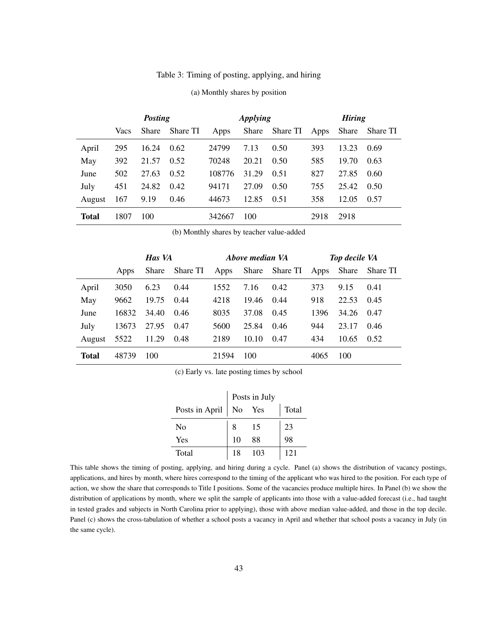|  |  |  |  | Table 3: Timing of posting, applying, and hiring |  |
|--|--|--|--|--------------------------------------------------|--|
|--|--|--|--|--------------------------------------------------|--|

<span id="page-44-0"></span>

|              |      | <b>Posting</b> |          | <b>Applying</b> |       |          | <b>Hiring</b> |       |          |
|--------------|------|----------------|----------|-----------------|-------|----------|---------------|-------|----------|
|              | Vacs | <b>Share</b>   | Share TI | Apps            | Share | Share TI | Apps          | Share | Share TI |
| April        | 295  | 16.24          | 0.62     | 24799           | 7.13  | 0.50     | 393           | 13.23 | 0.69     |
| May          | 392  | 21.57          | 0.52     | 70248           | 20.21 | 0.50     | 585           | 19.70 | 0.63     |
| June         | 502  | 27.63          | 0.52     | 108776          | 31.29 | 0.51     | 827           | 27.85 | 0.60     |
| July         | 451  | 24.82          | 0.42     | 94171           | 27.09 | 0.50     | 755           | 25.42 | 0.50     |
| August       | 167  | 9.19           | 0.46     | 44673           | 12.85 | 0.51     | 358           | 12.05 | 0.57     |
| <b>Total</b> | 1807 | 100            |          | 342667          | 100   |          | 2918          | 2918  |          |

#### (a) Monthly shares by position

(b) Monthly shares by teacher value-added

|        |       | Has VA |          |       | Above median VA |          | <b>Top decile VA</b> |       |          |
|--------|-------|--------|----------|-------|-----------------|----------|----------------------|-------|----------|
|        | Apps  | Share  | Share TI | Apps  | Share           | Share TI | Apps                 | Share | Share TI |
| April  | 3050  | 6.23   | 0.44     | 1552  | 7.16            | 0.42     | 373                  | 9.15  | 0.41     |
| May    | 9662  | 19.75  | 0.44     | 4218  | 19.46           | 0.44     | 918                  | 22.53 | 0.45     |
| June   | 16832 | 34.40  | 0.46     | 8035  | 37.08           | 0.45     | 1396                 | 34.26 | 0.47     |
| July   | 13673 | 27.95  | 0.47     | 5600  | 25.84           | 0.46     | 944                  | 23.17 | 0.46     |
| August | 5522  | 11.29  | 0.48     | 2189  | 10.10           | 0.47     | 434                  | 10.65 | 0.52     |
| Total  | 48739 | 100    |          | 21594 | 100             |          | 4065                 | 100   |          |

(c) Early vs. late posting times by school

|                |    | Posts in July |       |
|----------------|----|---------------|-------|
| Posts in April | No | Yes           | Total |
| No             |    | 15            | 23    |
| Yes            | 10 | 88            | 98    |
| Total          | 18 | 103           | 121   |

This table shows the timing of posting, applying, and hiring during a cycle. Panel (a) shows the distribution of vacancy postings, applications, and hires by month, where hires correspond to the timing of the applicant who was hired to the position. For each type of action, we show the share that corresponds to Title I positions. Some of the vacancies produce multiple hires. In Panel (b) we show the distribution of applications by month, where we split the sample of applicants into those with a value-added forecast (i.e., had taught in tested grades and subjects in North Carolina prior to applying), those with above median value-added, and those in the top decile. Panel (c) shows the cross-tabulation of whether a school posts a vacancy in April and whether that school posts a vacancy in July (in the same cycle).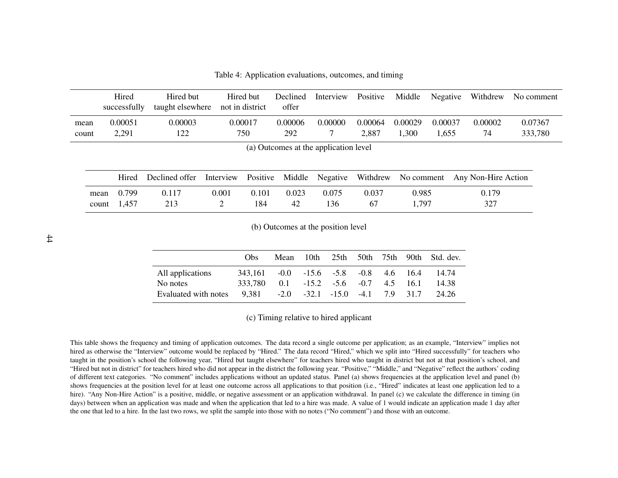Table 4: Application evaluations, outcomes, and timing

|               | Hired<br>successfully           | Hired but<br>taught elsewhere | not in district | Hired but    | Declined<br>offer | Interview                             | Positive         | Middle           | Negative         | Withdrew            | No comment         |
|---------------|---------------------------------|-------------------------------|-----------------|--------------|-------------------|---------------------------------------|------------------|------------------|------------------|---------------------|--------------------|
| mean<br>count | 0.00051<br>2,291                | 0.00003<br>122                | 0.00017         | 750          | 0.00006<br>292    | 0.00000                               | 0.00064<br>2,887 | 0.00029<br>1,300 | 0.00037<br>1,655 | 0.00002<br>74       | 0.07367<br>333,780 |
|               |                                 |                               |                 |              |                   | (a) Outcomes at the application level |                  |                  |                  |                     |                    |
|               | Hired                           | Declined offer                | Interview       | Positive     | Middle            | Negative                              | Withdrew         | No comment       |                  | Any Non-Hire Action |                    |
|               | 0.799<br>mean<br>1,457<br>count | 0.117<br>213                  | 0.001<br>2      | 0.101<br>184 | 0.023<br>42       | 0.075<br>136                          | 0.037<br>67      | 0.985<br>1,797   |                  | 0.179<br>327        |                    |

(b) Outcomes at the position level

|                      | Obs                                                |  |  |  | Mean 10th 25th 50th 75th 90th Std. dev. |
|----------------------|----------------------------------------------------|--|--|--|-----------------------------------------|
| All applications     | 343.161 -0.0 -15.6 -5.8 -0.8 4.6 16.4              |  |  |  | 14.74                                   |
| No notes             | $333.780$ 0.1 -15.2 -5.6 -0.7 4.5 16.1             |  |  |  | -14.38                                  |
| Evaluated with notes | $9,381$ $-2.0$ $-32.1$ $-15.0$ $-4.1$ $7.9$ $31.7$ |  |  |  | 24.26                                   |

(c) Timing relative to hired applicant

<span id="page-45-0"></span>This table shows the frequency and timing of application outcomes. The data record <sup>a</sup> single outcome per application; as an example, "Interview" implies not hired as otherwise the "Interview" outcome would be replaced by "Hired." The data record "Hired," which we split into "Hired successfully" for teachers who taught in the position's school the following year, "Hired but taught elsewhere" for teachers hired who taught in district but not at that position's school, and "Hired but not in district" for teachers hired who did not appear in the district the following year. "Positive," "Middle," and "Negative" reflect the authors' coding of different text categories. "No comment" includes applications without an updated status. Panel (a) shows frequencies at the application level and panel (b) shows frequencies at the position level for at least one outcome across all applications to that position (i.e., "Hired" indicates at least one application led to <sup>a</sup> hire). "Any Non-Hire Action" is a positive, middle, or negative assessment or an application withdrawal. In panel (c) we calculate the difference in timing (in days) between when an application was made and when the application that led to a hire was made. A value of 1 would indicate an application made 1 day after the one that led to <sup>a</sup> hire. In the last two rows, we split the sample into those with no notes ("No comment") and those with an outcome.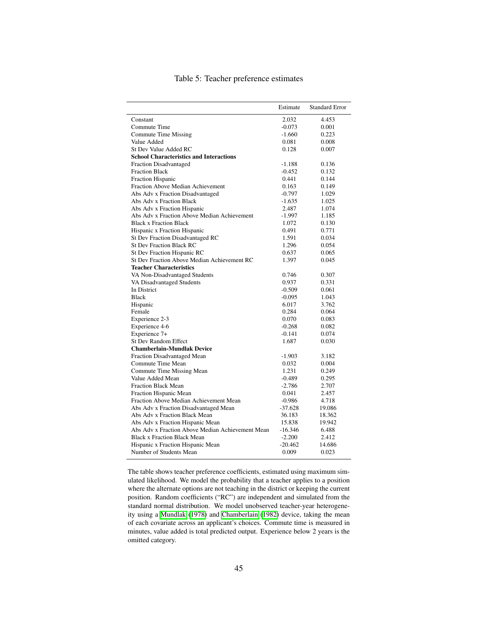<span id="page-46-0"></span>

|                                                  | Estimate  | <b>Standard Error</b> |
|--------------------------------------------------|-----------|-----------------------|
| Constant                                         | 2.032     | 4.453                 |
| Commute Time                                     | $-0.073$  | 0.001                 |
| Commute Time Missing                             | $-1.660$  | 0.223                 |
| Value Added                                      | 0.081     | 0.008                 |
| St Dev Value Added RC                            | 0.128     | 0.007                 |
| <b>School Characteristics and Interactions</b>   |           |                       |
| <b>Fraction Disadvantaged</b>                    | $-1.188$  | 0.136                 |
| <b>Fraction Black</b>                            | $-0.452$  | 0.132                 |
| <b>Fraction Hispanic</b>                         | 0.441     | 0.144                 |
| Fraction Above Median Achievement                | 0.163     | 0.149                 |
| Abs Adv x Fraction Disadvantaged                 | $-0.797$  | 1.029                 |
| Abs Adv x Fraction Black                         | $-1.635$  | 1.025                 |
| Abs Adv x Fraction Hispanic                      | 2.487     | 1.074                 |
| Abs Adv x Fraction Above Median Achievement      | $-1.997$  | 1.185                 |
| <b>Black x Fraction Black</b>                    | 1.072     | 0.130                 |
| Hispanic x Fraction Hispanic                     | 0.491     | 0.771                 |
| St Dev Fraction Disadvantaged RC                 | 1.591     | 0.034                 |
| St Dev Fraction Black RC                         | 1.296     | 0.054                 |
| St Dev Fraction Hispanic RC                      | 0.637     | 0.065                 |
| St Dev Fraction Above Median Achievement RC      | 1.397     | 0.045                 |
| <b>Teacher Characteristics</b>                   |           |                       |
| VA Non-Disadvantaged Students                    | 0.746     | 0.307                 |
| VA Disadvantaged Students                        | 0.937     | 0.331                 |
| In District                                      | $-0.509$  | 0.061                 |
| <b>Black</b>                                     | $-0.095$  | 1.043                 |
| Hispanic                                         | 6.017     | 3.762                 |
| Female                                           | 0.284     | 0.064                 |
| Experience 2-3                                   | 0.070     | 0.083                 |
| Experience 4-6                                   | $-0.268$  | 0.082                 |
| Experience 7+                                    | $-0.141$  | 0.074                 |
| <b>St Dev Random Effect</b>                      | 1.687     | 0.030                 |
| <b>Chamberlain-Mundlak Device</b>                |           |                       |
| Fraction Disadvantaged Mean                      | $-1.903$  | 3.182                 |
| Commute Time Mean                                | 0.032     | 0.004                 |
| Commute Time Missing Mean                        | 1.231     | 0.249                 |
| Value Added Mean                                 | $-0.489$  | 0.295                 |
| <b>Fraction Black Mean</b>                       | $-2.786$  | 2.707                 |
| Fraction Hispanic Mean                           | 0.041     | 2.457                 |
| Fraction Above Median Achievement Mean           | $-0.986$  | 4.718                 |
| Abs Adv x Fraction Disadvantaged Mean            | $-37.628$ | 19.086                |
| Abs Adv x Fraction Black Mean                    | 36.183    | 18.362                |
| Abs Adv x Fraction Hispanic Mean                 | 15.838    | 19.942                |
| Abs Adv x Fraction Above Median Achievement Mean | $-16.346$ | 6.488                 |
| <b>Black x Fraction Black Mean</b>               | $-2.200$  | 2.412                 |
| Hispanic x Fraction Hispanic Mean                | $-20.462$ | 14.686                |
| Number of Students Mean                          | 0.009     | 0.023                 |
|                                                  |           |                       |

## Table 5: Teacher preference estimates

The table shows teacher preference coefficients, estimated using maximum simulated likelihood. We model the probability that a teacher applies to a position where the alternate options are not teaching in the district or keeping the current position. Random coefficients ("RC") are independent and simulated from the standard normal distribution. We model unobserved teacher-year heterogene-ity using a [Mundlak](#page-40-13) [\(1978\)](#page-40-13) and [Chamberlain](#page-37-13) [\(1982\)](#page-37-13) device, taking the mean of each covariate across an applicant's choices. Commute time is measured in minutes, value added is total predicted output. Experience below 2 years is the omitted category.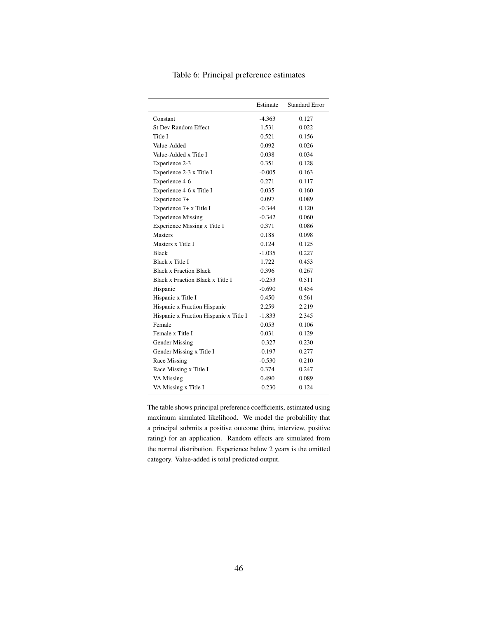<span id="page-47-0"></span>

|                                        | Estimate | <b>Standard Error</b> |
|----------------------------------------|----------|-----------------------|
| Constant                               | $-4.363$ | 0.127                 |
| <b>St Dev Random Effect</b>            | 1.531    | 0.022                 |
| Title I                                | 0.521    | 0.156                 |
| Value-Added                            | 0.092    | 0.026                 |
| Value-Added x Title I                  | 0.038    | 0.034                 |
| Experience 2-3                         | 0.351    | 0.128                 |
| Experience 2-3 x Title I               | $-0.005$ | 0.163                 |
| Experience 4-6                         | 0.271    | 0.117                 |
| Experience 4-6 x Title I               | 0.035    | 0.160                 |
| Experience 7+                          | 0.097    | 0.089                 |
| Experience 7+ x Title I                | $-0.344$ | 0.120                 |
| <b>Experience Missing</b>              | $-0.342$ | 0.060                 |
| Experience Missing x Title I           | 0.371    | 0.086                 |
| <b>Masters</b>                         | 0.188    | 0.098                 |
| Masters x Title I                      | 0.124    | 0.125                 |
| <b>Black</b>                           | $-1.035$ | 0.227                 |
| Black x Title I                        | 1.722    | 0.453                 |
| <b>Black x Fraction Black</b>          | 0.396    | 0.267                 |
| Black x Fraction Black x Title I       | $-0.253$ | 0.511                 |
| Hispanic                               | $-0.690$ | 0.454                 |
| Hispanic x Title I                     | 0.450    | 0.561                 |
| Hispanic x Fraction Hispanic           | 2.259    | 2.219                 |
| Hispanic x Fraction Hispanic x Title I | -1.833   | 2.345                 |
| Female                                 | 0.053    | 0.106                 |
| Female x Title I                       | 0.031    | 0.129                 |
| <b>Gender Missing</b>                  | $-0.327$ | 0.230                 |
| Gender Missing x Title I               | $-0.197$ | 0.277                 |
| Race Missing                           | $-0.530$ | 0.210                 |
| Race Missing x Title I                 | 0.374    | 0.247                 |
| VA Missing                             | 0.490    | 0.089                 |
| VA Missing x Title I                   | $-0.230$ | 0.124                 |

## Table 6: Principal preference estimates

The table shows principal preference coefficients, estimated using maximum simulated likelihood. We model the probability that a principal submits a positive outcome (hire, interview, positive rating) for an application. Random effects are simulated from the normal distribution. Experience below 2 years is the omitted category. Value-added is total predicted output.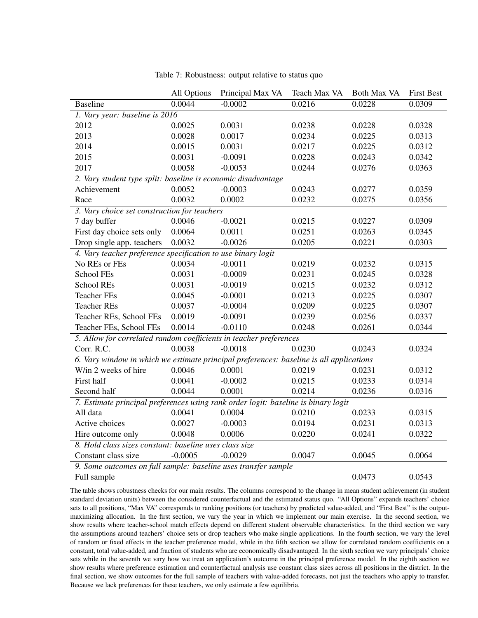<span id="page-48-0"></span>

|                                                                                         | All Options | Principal Max VA | Teach Max VA | <b>Both Max VA</b> | <b>First Best</b> |  |  |
|-----------------------------------------------------------------------------------------|-------------|------------------|--------------|--------------------|-------------------|--|--|
| <b>Baseline</b>                                                                         | 0.0044      | $-0.0002$        | 0.0216       | 0.0228             | 0.0309            |  |  |
| 1. Vary year: baseline is 2016                                                          |             |                  |              |                    |                   |  |  |
| 2012                                                                                    | 0.0025      | 0.0031           | 0.0238       | 0.0228             | 0.0328            |  |  |
| 2013                                                                                    | 0.0028      | 0.0017           | 0.0234       | 0.0225             | 0.0313            |  |  |
| 2014                                                                                    | 0.0015      | 0.0031           | 0.0217       | 0.0225             | 0.0312            |  |  |
| 2015                                                                                    | 0.0031      | $-0.0091$        | 0.0228       | 0.0243             | 0.0342            |  |  |
| 2017                                                                                    | 0.0058      | $-0.0053$        | 0.0244       | 0.0276             | 0.0363            |  |  |
| 2. Vary student type split: baseline is economic disadvantage                           |             |                  |              |                    |                   |  |  |
| Achievement                                                                             | 0.0052      | $-0.0003$        | 0.0243       | 0.0277             | 0.0359            |  |  |
| Race                                                                                    | 0.0032      | 0.0002           | 0.0232       | 0.0275             | 0.0356            |  |  |
| 3. Vary choice set construction for teachers                                            |             |                  |              |                    |                   |  |  |
| 7 day buffer                                                                            | 0.0046      | $-0.0021$        | 0.0215       | 0.0227             | 0.0309            |  |  |
| First day choice sets only                                                              | 0.0064      | 0.0011           | 0.0251       | 0.0263             | 0.0345            |  |  |
| Drop single app. teachers                                                               | 0.0032      | $-0.0026$        | 0.0205       | 0.0221             | 0.0303            |  |  |
| 4. Vary teacher preference specification to use binary logit                            |             |                  |              |                    |                   |  |  |
| No REs or FEs                                                                           | 0.0034      | $-0.0011$        | 0.0219       | 0.0232             | 0.0315            |  |  |
| School FEs                                                                              | 0.0031      | $-0.0009$        | 0.0231       | 0.0245             | 0.0328            |  |  |
| <b>School REs</b>                                                                       | 0.0031      | $-0.0019$        | 0.0215       | 0.0232             | 0.0312            |  |  |
| <b>Teacher FEs</b>                                                                      | 0.0045      | $-0.0001$        | 0.0213       | 0.0225             | 0.0307            |  |  |
| <b>Teacher REs</b>                                                                      | 0.0037      | $-0.0004$        | 0.0209       | 0.0225             | 0.0307            |  |  |
| Teacher REs, School FEs                                                                 | 0.0019      | $-0.0091$        | 0.0239       | 0.0256             | 0.0337            |  |  |
| Teacher FEs, School FEs                                                                 | 0.0014      | $-0.0110$        | 0.0248       | 0.0261             | 0.0344            |  |  |
| 5. Allow for correlated random coefficients in teacher preferences                      |             |                  |              |                    |                   |  |  |
| Corr. R.C.                                                                              | 0.0038      | $-0.0018$        | 0.0230       | 0.0243             | 0.0324            |  |  |
| 6. Vary window in which we estimate principal preferences: baseline is all applications |             |                  |              |                    |                   |  |  |
| W/in 2 weeks of hire                                                                    | 0.0046      | 0.0001           | 0.0219       | 0.0231             | 0.0312            |  |  |
| First half                                                                              | 0.0041      | $-0.0002$        | 0.0215       | 0.0233             | 0.0314            |  |  |
| Second half                                                                             | 0.0044      | 0.0001           | 0.0214       | 0.0236             | 0.0316            |  |  |
| 7. Estimate principal preferences using rank order logit: baseline is binary logit      |             |                  |              |                    |                   |  |  |
| All data                                                                                | 0.0041      | 0.0004           | 0.0210       | 0.0233             | 0.0315            |  |  |
| Active choices                                                                          | 0.0027      | $-0.0003$        | 0.0194       | 0.0231             | 0.0313            |  |  |
| Hire outcome only                                                                       | 0.0048      | 0.0006           | 0.0220       | 0.0241             | 0.0322            |  |  |
| 8. Hold class sizes constant: baseline uses class size                                  |             |                  |              |                    |                   |  |  |
| Constant class size                                                                     | $-0.0005$   | $-0.0029$        | 0.0047       | 0.0045             | 0.0064            |  |  |
| 9. Some outcomes on full sample: baseline uses transfer sample                          |             |                  |              |                    |                   |  |  |
| Full sample                                                                             |             |                  |              | 0.0473             | 0.0543            |  |  |

Table 7: Robustness: output relative to status quo

The table shows robustness checks for our main results. The columns correspond to the change in mean student achievement (in student standard deviation units) between the considered counterfactual and the estimated status quo. "All Options" expands teachers' choice sets to all positions, "Max VA" corresponds to ranking positions (or teachers) by predicted value-added, and "First Best" is the outputmaximizing allocation. In the first section, we vary the year in which we implement our main exercise. In the second section, we show results where teacher-school match effects depend on different student observable characteristics. In the third section we vary the assumptions around teachers' choice sets or drop teachers who make single applications. In the fourth section, we vary the level of random or fixed effects in the teacher preference model, while in the fifth section we allow for correlated random coefficients on a constant, total value-added, and fraction of students who are economically disadvantaged. In the sixth section we vary principals' choice sets while in the seventh we vary how we treat an application's outcome in the principal preference model. In the eighth section we show results where preference estimation and counterfactual analysis use constant class sizes across all positions in the district. In the final section, we show outcomes for the full sample of teachers with value-added forecasts, not just the teachers who apply to transfer. Because we lack preferences for these teachers, we only estimate a few equilibria.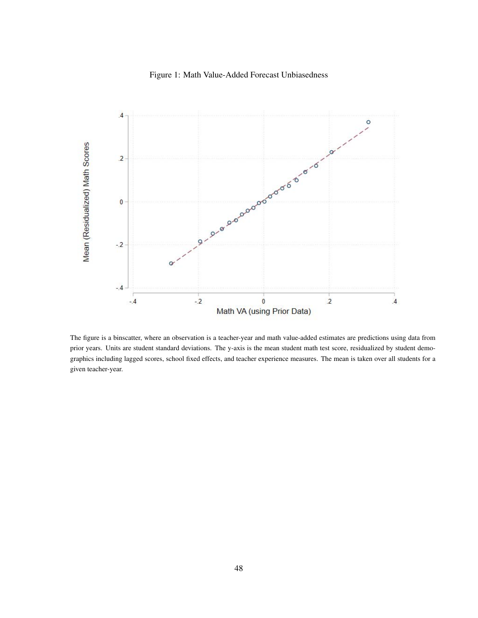## Figure 1: Math Value-Added Forecast Unbiasedness

<span id="page-49-0"></span>

The figure is a binscatter, where an observation is a teacher-year and math value-added estimates are predictions using data from prior years. Units are student standard deviations. The y-axis is the mean student math test score, residualized by student demographics including lagged scores, school fixed effects, and teacher experience measures. The mean is taken over all students for a given teacher-year.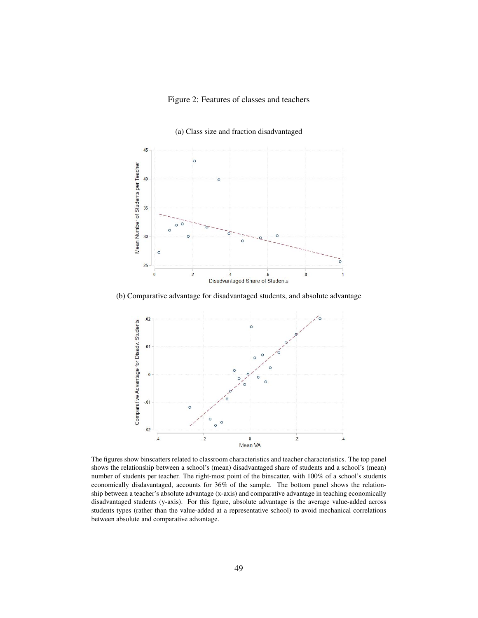## Figure 2: Features of classes and teachers

(a) Class size and fraction disadvantaged

<span id="page-50-0"></span>

(b) Comparative advantage for disadvantaged students, and absolute advantage



The figures show binscatters related to classroom characteristics and teacher characteristics. The top panel shows the relationship between a school's (mean) disadvantaged share of students and a school's (mean) number of students per teacher. The right-most point of the binscatter, with 100% of a school's students economically disdavantaged, accounts for 36% of the sample. The bottom panel shows the relationship between a teacher's absolute advantage (x-axis) and comparative advantage in teaching economically disadvantaged students (y-axis). For this figure, absolute advantage is the average value-added across students types (rather than the value-added at a representative school) to avoid mechanical correlations between absolute and comparative advantage.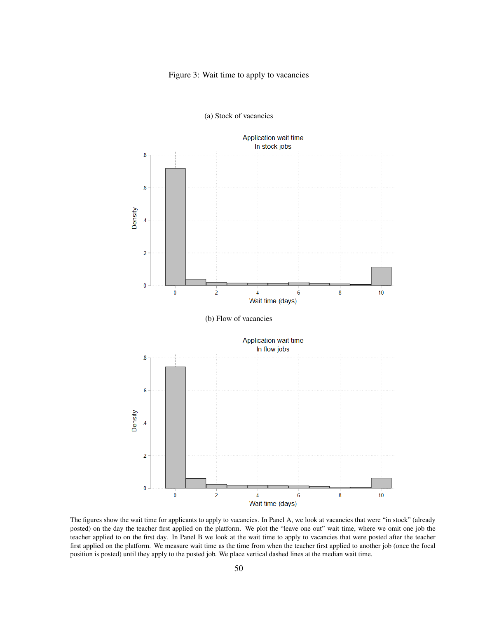## Figure 3: Wait time to apply to vacancies

<span id="page-51-0"></span>

(a) Stock of vacancies

The figures show the wait time for applicants to apply to vacancies. In Panel A, we look at vacancies that were "in stock" (already posted) on the day the teacher first applied on the platform. We plot the "leave one out" wait time, where we omit one job the teacher applied to on the first day. In Panel B we look at the wait time to apply to vacancies that were posted after the teacher first applied on the platform. We measure wait time as the time from when the teacher first applied to another job (once the focal position is posted) until they apply to the posted job. We place vertical dashed lines at the median wait time.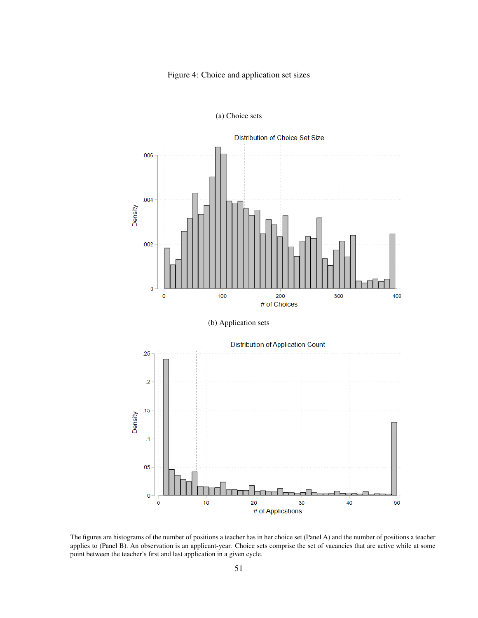## Figure 4: Choice and application set sizes

<span id="page-52-0"></span>

(a) Choice sets



20

# of Applications

mп

30

40

50

 $10$ 

 $\mathbf{0}$ 

 $\mathbf 0$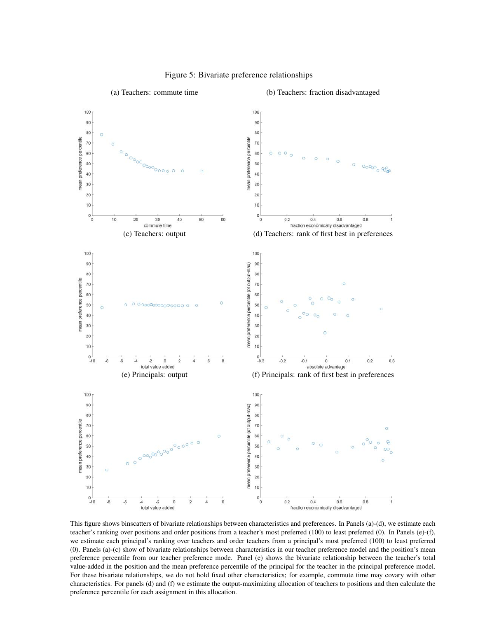<span id="page-53-0"></span>

## Figure 5: Bivariate preference relationships

This figure shows binscatters of bivariate relationships between characteristics and preferences. In Panels (a)-(d), we estimate each teacher's ranking over positions and order positions from a teacher's most preferred (100) to least preferred (0). In Panels (e)-(f), we estimate each principal's ranking over teachers and order teachers from a principal's most preferred (100) to least preferred (0). Panels (a)-(c) show of bivariate relationships between characteristics in our teacher preference model and the position's mean preference percentile from our teacher preference mode. Panel (e) shows the bivariate relationship between the teacher's total value-added in the position and the mean preference percentile of the principal for the teacher in the principal preference model. For these bivariate relationships, we do not hold fixed other characteristics; for example, commute time may covary with other characteristics. For panels (d) and (f) we estimate the output-maximizing allocation of teachers to positions and then calculate the preference percentile for each assignment in this allocation.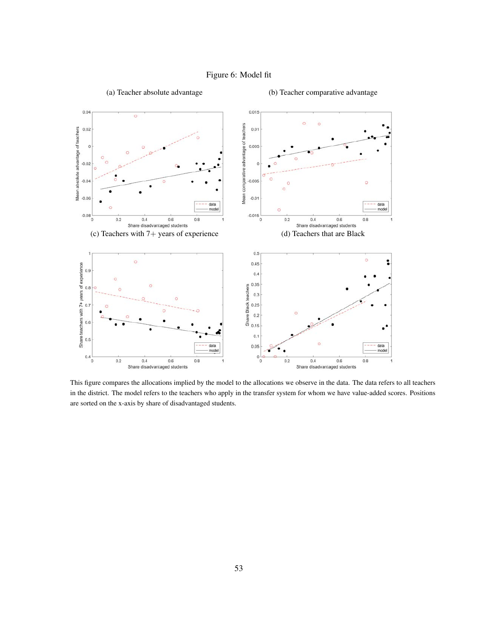## Figure 6: Model fit

<span id="page-54-0"></span>

This figure compares the allocations implied by the model to the allocations we observe in the data. The data refers to all teachers in the district. The model refers to the teachers who apply in the transfer system for whom we have value-added scores. Positions are sorted on the x-axis by share of disadvantaged students.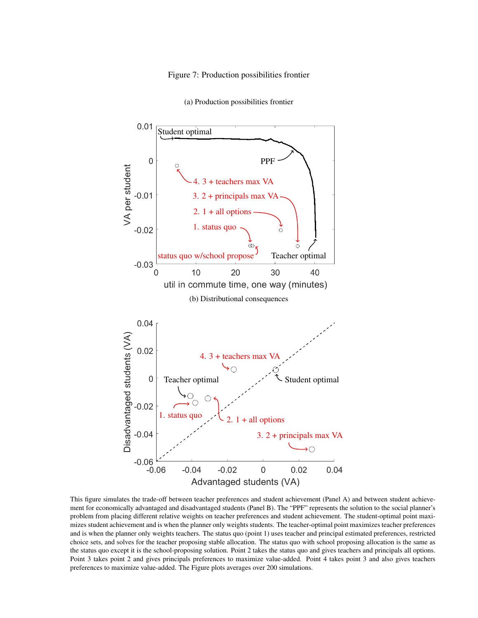#### Figure 7: Production possibilities frontier

<span id="page-55-0"></span>

(a) Production possibilities frontier

This figure simulates the trade-off between teacher preferences and student achievement (Panel A) and between student achievement for economically advantaged and disadvantaged students (Panel B). The "PPF" represents the solution to the social planner's problem from placing different relative weights on teacher preferences and student achievement. The student-optimal point maximizes student achievement and is when the planner only weights students. The teacher-optimal point maximizes teacher preferences and is when the planner only weights teachers. The status quo (point 1) uses teacher and principal estimated preferences, restricted choice sets, and solves for the teacher proposing stable allocation. The status quo with school proposing allocation is the same as the status quo except it is the school-proposing solution. Point 2 takes the status quo and gives teachers and principals all options. Point 3 takes point 2 and gives principals preferences to maximize value-added. Point 4 takes point 3 and also gives teachers preferences to maximize value-added. The Figure plots averages over 200 simulations.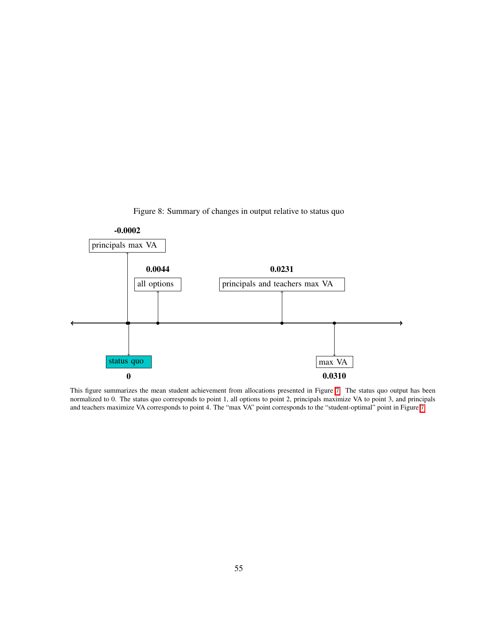Figure 8: Summary of changes in output relative to status quo

<span id="page-56-0"></span>

This figure summarizes the mean student achievement from allocations presented in Figure  $\frac{7}{7}$ . The status quo output has been normalized to 0. The status quo corresponds to point 1, all options to point 2, principals maximize VA to point 3, and principals and teachers maximize VA corresponds to point 4. The "max VA" point corresponds to the "student-optimal" point in Figure  $\boxed{7}$ .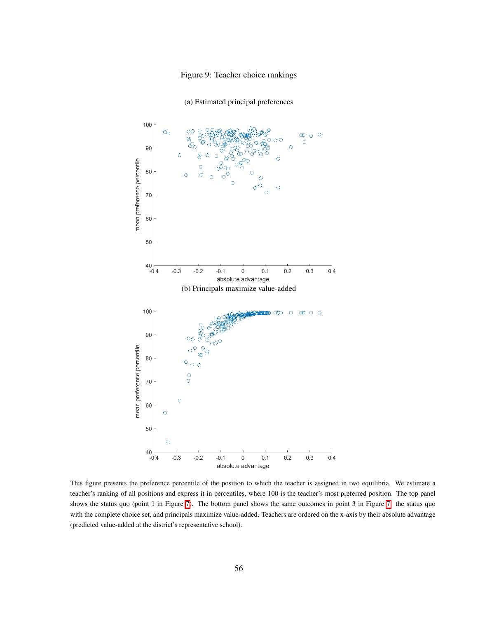## Figure 9: Teacher choice rankings

<span id="page-57-0"></span>

(a) Estimated principal preferences

This figure presents the preference percentile of the position to which the teacher is assigned in two equilibria. We estimate a teacher's ranking of all positions and express it in percentiles, where 100 is the teacher's most preferred position. The top panel shows the status quo (point 1 in Figure  $\overline{7}$ ). The bottom panel shows the same outcomes in point 3 in Figure  $\overline{7}$ ; the status quo with the complete choice set, and principals maximize value-added. Teachers are ordered on the x-axis by their absolute advantage (predicted value-added at the district's representative school).